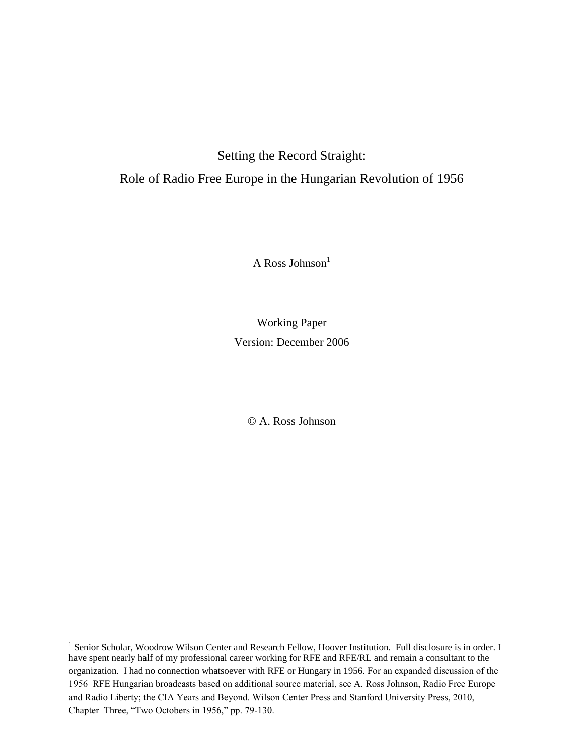# Setting the Record Straight: Role of Radio Free Europe in the Hungarian Revolution of 1956

A Ross Johnson $<sup>1</sup>$ </sup>

Working Paper Version: December 2006

© A. Ross Johnson

<sup>&</sup>lt;sup>1</sup> Senior Scholar, Woodrow Wilson Center and Research Fellow, Hoover Institution. Full disclosure is in order. I have spent nearly half of my professional career working for RFE and RFE/RL and remain a consultant to the organization. I had no connection whatsoever with RFE or Hungary in 1956. For an expanded discussion of the 1956 RFE Hungarian broadcasts based on additional source material, see A. Ross Johnson, Radio Free Europe and Radio Liberty; the CIA Years and Beyond. Wilson Center Press and Stanford University Press, 2010, Chapter Three, "Two Octobers in 1956," pp. 79-130.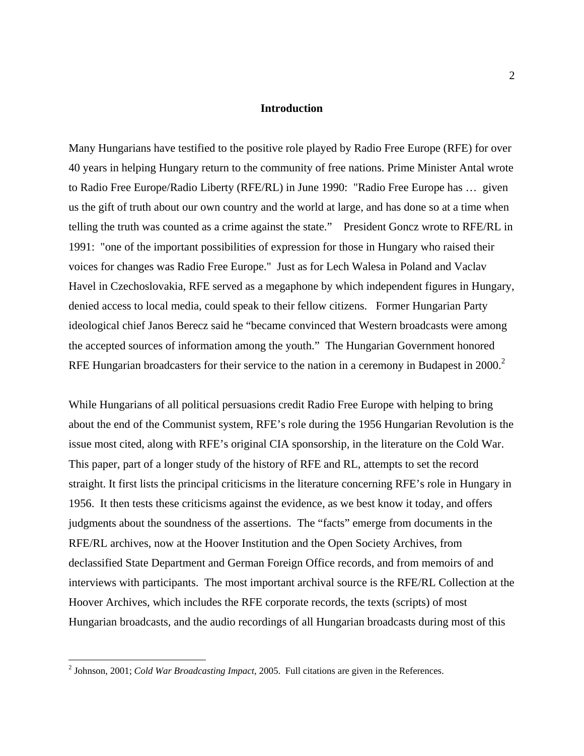#### **Introduction**

Many Hungarians have testified to the positive role played by Radio Free Europe (RFE) for over 40 years in helping Hungary return to the community of free nations. Prime Minister Antal wrote to Radio Free Europe/Radio Liberty (RFE/RL) in June 1990: "Radio Free Europe has … given us the gift of truth about our own country and the world at large, and has done so at a time when telling the truth was counted as a crime against the state." President Goncz wrote to RFE/RL in 1991: "one of the important possibilities of expression for those in Hungary who raised their voices for changes was Radio Free Europe." Just as for Lech Walesa in Poland and Vaclav Havel in Czechoslovakia, RFE served as a megaphone by which independent figures in Hungary, denied access to local media, could speak to their fellow citizens. Former Hungarian Party ideological chief Janos Berecz said he "became convinced that Western broadcasts were among the accepted sources of information among the youth." The Hungarian Government honored RFE Hungarian broadcasters for their service to the nation in a ceremony in Budapest in 2000.<sup>2</sup>

While Hungarians of all political persuasions credit Radio Free Europe with helping to bring about the end of the Communist system, RFE's role during the 1956 Hungarian Revolution is the issue most cited, along with RFE's original CIA sponsorship, in the literature on the Cold War. This paper, part of a longer study of the history of RFE and RL, attempts to set the record straight. It first lists the principal criticisms in the literature concerning RFE's role in Hungary in 1956. It then tests these criticisms against the evidence, as we best know it today, and offers judgments about the soundness of the assertions. The "facts" emerge from documents in the RFE/RL archives, now at the Hoover Institution and the Open Society Archives, from declassified State Department and German Foreign Office records, and from memoirs of and interviews with participants. The most important archival source is the RFE/RL Collection at the Hoover Archives, which includes the RFE corporate records, the texts (scripts) of most Hungarian broadcasts, and the audio recordings of all Hungarian broadcasts during most of this

 2 Johnson, 2001; *Cold War Broadcasting Impact*, 2005. Full citations are given in the References.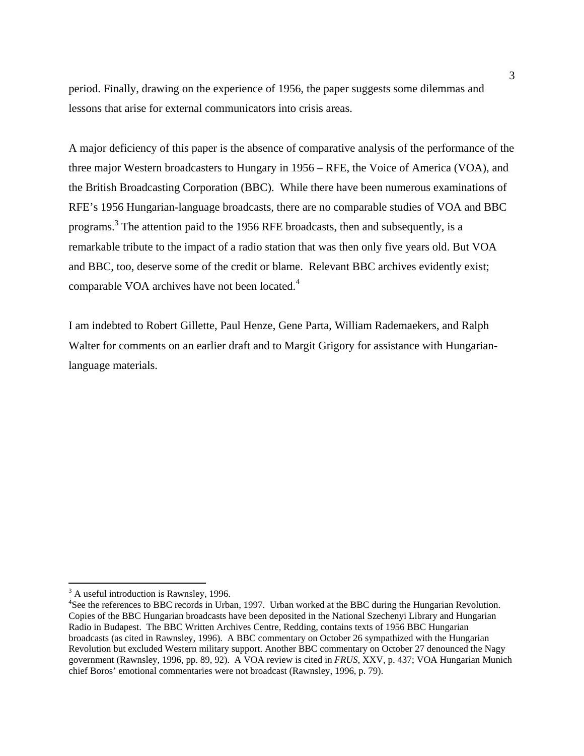period. Finally, drawing on the experience of 1956, the paper suggests some dilemmas and lessons that arise for external communicators into crisis areas.

A major deficiency of this paper is the absence of comparative analysis of the performance of the three major Western broadcasters to Hungary in 1956 – RFE, the Voice of America (VOA), and the British Broadcasting Corporation (BBC). While there have been numerous examinations of RFE's 1956 Hungarian-language broadcasts, there are no comparable studies of VOA and BBC programs.<sup>3</sup> The attention paid to the 1956 RFE broadcasts, then and subsequently, is a remarkable tribute to the impact of a radio station that was then only five years old. But VOA and BBC, too, deserve some of the credit or blame. Relevant BBC archives evidently exist; comparable VOA archives have not been located.<sup>4</sup>

I am indebted to Robert Gillette, Paul Henze, Gene Parta, William Rademaekers, and Ralph Walter for comments on an earlier draft and to Margit Grigory for assistance with Hungarianlanguage materials.

 $3$  A useful introduction is Rawnsley, 1996.

<sup>&</sup>lt;sup>4</sup>See the references to BBC records in Urban, 1997. Urban worked at the BBC during the Hungarian Revolution. Copies of the BBC Hungarian broadcasts have been deposited in the National Szechenyi Library and Hungarian Radio in Budapest. The BBC Written Archives Centre, Redding, contains texts of 1956 BBC Hungarian broadcasts (as cited in Rawnsley, 1996). A BBC commentary on October 26 sympathized with the Hungarian Revolution but excluded Western military support. Another BBC commentary on October 27 denounced the Nagy government (Rawnsley, 1996, pp. 89, 92). A VOA review is cited in *FRUS*, XXV, p. 437; VOA Hungarian Munich chief Boros' emotional commentaries were not broadcast (Rawnsley, 1996, p. 79).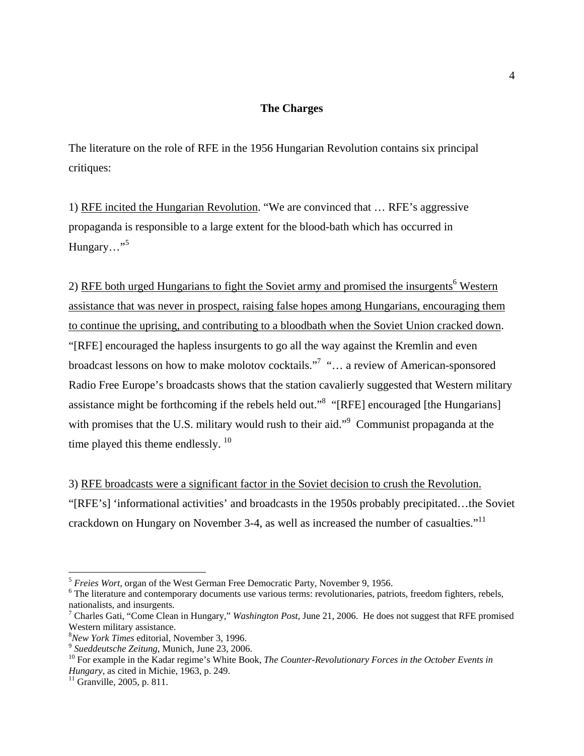## **The Charges**

The literature on the role of RFE in the 1956 Hungarian Revolution contains six principal critiques:

1) RFE incited the Hungarian Revolution. "We are convinced that … RFE's aggressive propaganda is responsible to a large extent for the blood-bath which has occurred in Hungary..."<sup>5</sup>

2) RFE both urged Hungarians to fight the Soviet army and promised the insurgents<sup>6</sup> Western assistance that was never in prospect, raising false hopes among Hungarians, encouraging them to continue the uprising, and contributing to a bloodbath when the Soviet Union cracked down. "[RFE] encouraged the hapless insurgents to go all the way against the Kremlin and even broadcast lessons on how to make molotov cocktails."<sup>7</sup> "... a review of American-sponsored Radio Free Europe's broadcasts shows that the station cavalierly suggested that Western military assistance might be forthcoming if the rebels held out."<sup>8</sup> "[RFE] encouraged [the Hungarians] with promises that the U.S. military would rush to their aid."<sup>9</sup> Communist propaganda at the time played this theme endlessly.<sup>10</sup>

3) RFE broadcasts were a significant factor in the Soviet decision to crush the Revolution. "[RFE's] 'informational activities' and broadcasts in the 1950s probably precipitated…the Soviet crackdown on Hungary on November 3-4, as well as increased the number of casualties."<sup>11</sup>

1

<sup>&</sup>lt;sup>5</sup> *Freies Wort*, organ of the West German Free Democratic Party, November 9, 1956.

<sup>&</sup>lt;sup>6</sup> The literature and contemporary documents use various terms: revolutionaries, patriots, freedom fighters, rebels, nationalists, and insurgents.

<sup>7</sup> Charles Gati, "Come Clean in Hungary," *Washington Post*, June 21, 2006. He does not suggest that RFE promised Western military assistance.

<sup>&</sup>lt;sup>8</sup>New York Times editorial, November 3, 1996.

<sup>&</sup>lt;sup>9</sup> Sueddeutsche Zeitung, Munich, June 23, 2006. <sup>9</sup> *Sueddeutsche Zeitungs Forces in the October Events in* <sup>10</sup> For example in the Kadar regime's White Book, *The Counter-Revolutionary Forces in the October Events in Hungary*, as cited in Michie, 1963, p. 249.<br><sup>11</sup> Granville, 2005, p. 811.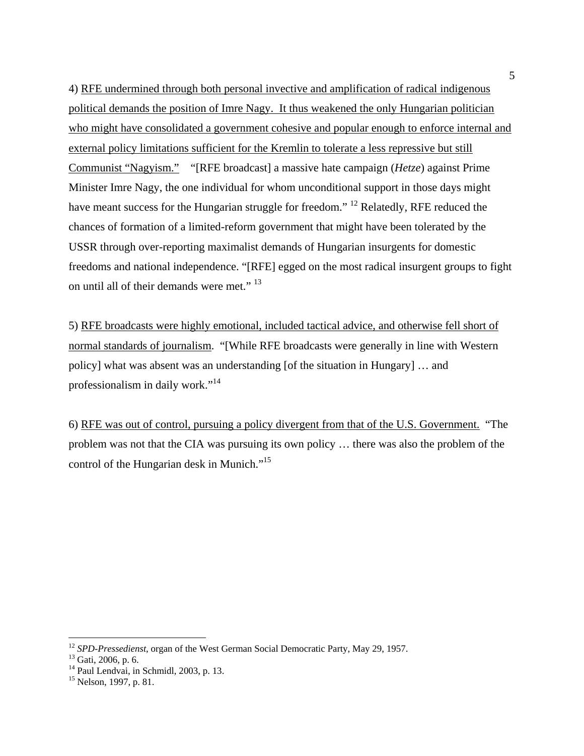4) RFE undermined through both personal invective and amplification of radical indigenous political demands the position of Imre Nagy. It thus weakened the only Hungarian politician who might have consolidated a government cohesive and popular enough to enforce internal and external policy limitations sufficient for the Kremlin to tolerate a less repressive but still Communist "Nagyism." "[RFE broadcast] a massive hate campaign (*Hetze*) against Prime Minister Imre Nagy, the one individual for whom unconditional support in those days might have meant success for the Hungarian struggle for freedom." <sup>12</sup> Relatedly, RFE reduced the chances of formation of a limited-reform government that might have been tolerated by the USSR through over-reporting maximalist demands of Hungarian insurgents for domestic freedoms and national independence. "[RFE] egged on the most radical insurgent groups to fight on until all of their demands were met." 13

5) RFE broadcasts were highly emotional, included tactical advice, and otherwise fell short of normal standards of journalism. "[While RFE broadcasts were generally in line with Western policy] what was absent was an understanding [of the situation in Hungary] … and professionalism in daily work."14

6) RFE was out of control, pursuing a policy divergent from that of the U.S. Government. "The problem was not that the CIA was pursuing its own policy … there was also the problem of the control of the Hungarian desk in Munich."<sup>15</sup>

<sup>&</sup>lt;sup>12</sup> *SPD-Pressedienst*, organ of the West German Social Democratic Party, May 29, 1957.<br><sup>13</sup> Gati, 2006, p. 6.

<sup>&</sup>lt;sup>14</sup> Paul Lendvai, in Schmidl, 2003, p. 13.

<sup>&</sup>lt;sup>15</sup> Nelson, 1997, p. 81.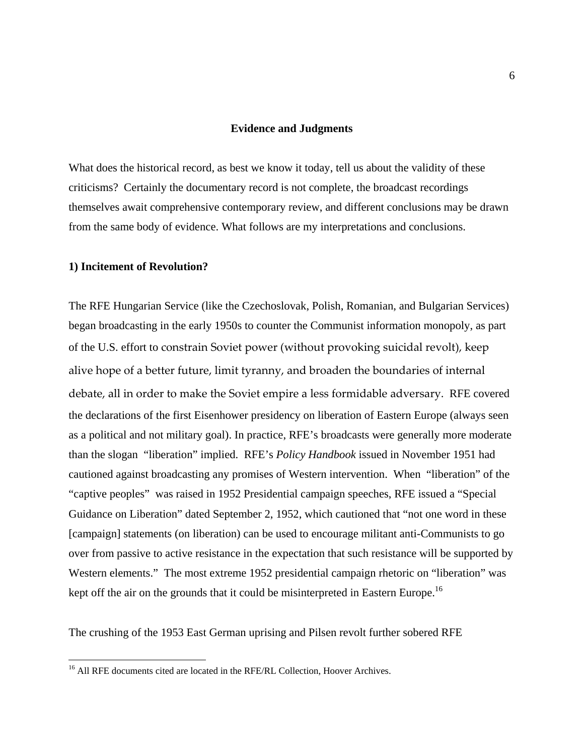## **Evidence and Judgments**

What does the historical record, as best we know it today, tell us about the validity of these criticisms? Certainly the documentary record is not complete, the broadcast recordings themselves await comprehensive contemporary review, and different conclusions may be drawn from the same body of evidence. What follows are my interpretations and conclusions.

#### **1) Incitement of Revolution?**

1

The RFE Hungarian Service (like the Czechoslovak, Polish, Romanian, and Bulgarian Services) began broadcasting in the early 1950s to counter the Communist information monopoly, as part of the U.S. effort to constrain Soviet power (without provoking suicidal revolt), keep alive hope of a better future, limit tyranny, and broaden the boundaries of internal debate, all in order to make the Soviet empire a less formidable adversary. RFE covered the declarations of the first Eisenhower presidency on liberation of Eastern Europe (always seen as a political and not military goal). In practice, RFE's broadcasts were generally more moderate than the slogan "liberation" implied. RFE's *Policy Handbook* issued in November 1951 had cautioned against broadcasting any promises of Western intervention. When "liberation" of the "captive peoples" was raised in 1952 Presidential campaign speeches, RFE issued a "Special Guidance on Liberation" dated September 2, 1952, which cautioned that "not one word in these [campaign] statements (on liberation) can be used to encourage militant anti-Communists to go over from passive to active resistance in the expectation that such resistance will be supported by Western elements." The most extreme 1952 presidential campaign rhetoric on "liberation" was kept off the air on the grounds that it could be misinterpreted in Eastern Europe.<sup>16</sup>

The crushing of the 1953 East German uprising and Pilsen revolt further sobered RFE

<sup>&</sup>lt;sup>16</sup> All RFE documents cited are located in the RFE/RL Collection, Hoover Archives.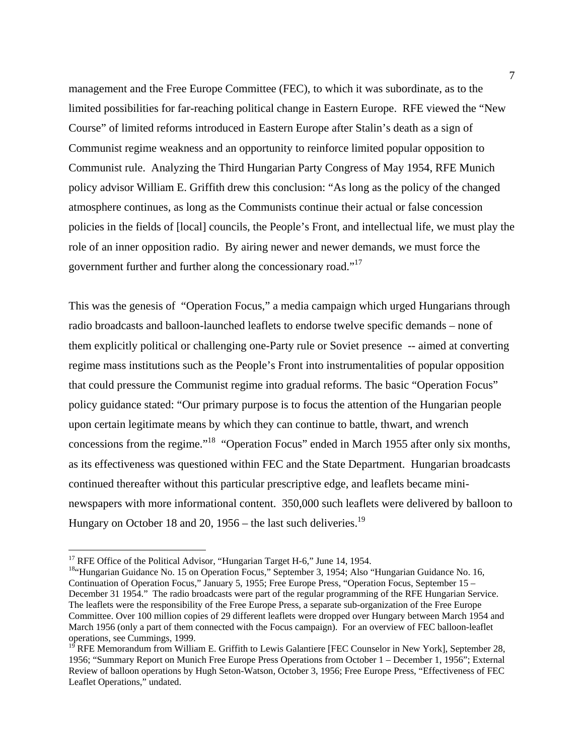management and the Free Europe Committee (FEC), to which it was subordinate, as to the limited possibilities for far-reaching political change in Eastern Europe. RFE viewed the "New Course" of limited reforms introduced in Eastern Europe after Stalin's death as a sign of Communist regime weakness and an opportunity to reinforce limited popular opposition to Communist rule. Analyzing the Third Hungarian Party Congress of May 1954, RFE Munich policy advisor William E. Griffith drew this conclusion: "As long as the policy of the changed atmosphere continues, as long as the Communists continue their actual or false concession policies in the fields of [local] councils, the People's Front, and intellectual life, we must play the role of an inner opposition radio. By airing newer and newer demands, we must force the government further and further along the concessionary road."<sup>17</sup>

This was the genesis of "Operation Focus," a media campaign which urged Hungarians through radio broadcasts and balloon-launched leaflets to endorse twelve specific demands – none of them explicitly political or challenging one-Party rule or Soviet presence -- aimed at converting regime mass institutions such as the People's Front into instrumentalities of popular opposition that could pressure the Communist regime into gradual reforms. The basic "Operation Focus" policy guidance stated: "Our primary purpose is to focus the attention of the Hungarian people upon certain legitimate means by which they can continue to battle, thwart, and wrench concessions from the regime."18 "Operation Focus" ended in March 1955 after only six months, as its effectiveness was questioned within FEC and the State Department. Hungarian broadcasts continued thereafter without this particular prescriptive edge, and leaflets became mininewspapers with more informational content. 350,000 such leaflets were delivered by balloon to Hungary on October 18 and 20, 1956 – the last such deliveries.<sup>19</sup>

<sup>&</sup>lt;sup>17</sup> RFE Office of the Political Advisor, "Hungarian Target H-6," June 14, 1954.

<sup>&</sup>lt;sup>18"</sup>Hungarian Guidance No. 15 on Operation Focus," September 3, 1954; Also "Hungarian Guidance No. 16, Continuation of Operation Focus," January 5, 1955; Free Europe Press, "Operation Focus, September 15 – December 31 1954." The radio broadcasts were part of the regular programming of the RFE Hungarian Service. The leaflets were the responsibility of the Free Europe Press, a separate sub-organization of the Free Europe Committee. Over 100 million copies of 29 different leaflets were dropped over Hungary between March 1954 and March 1956 (only a part of them connected with the Focus campaign). For an overview of FEC balloon-leaflet operations, see Cummings, 1999.

<sup>&</sup>lt;sup>19</sup> RFE Memorandum from William E. Griffith to Lewis Galantiere [FEC Counselor in New York], September 28, 1956; "Summary Report on Munich Free Europe Press Operations from October 1 – December 1, 1956"; External Review of balloon operations by Hugh Seton-Watson, October 3, 1956; Free Europe Press, "Effectiveness of FEC Leaflet Operations," undated.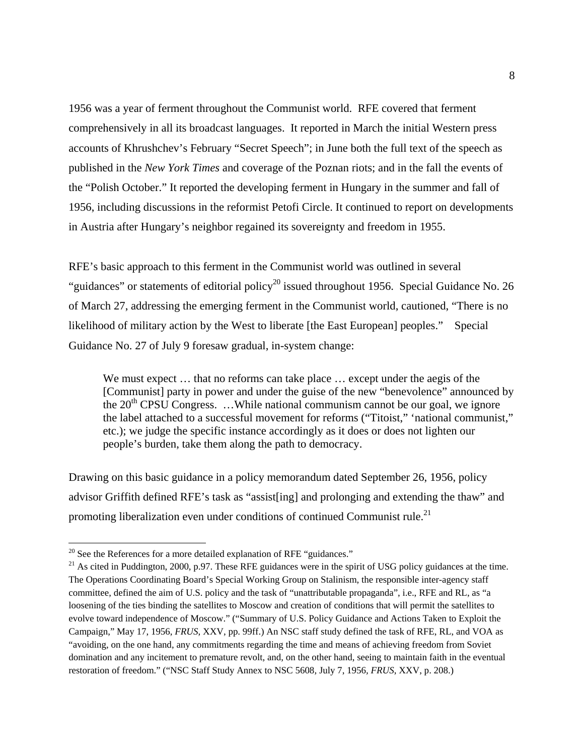1956 was a year of ferment throughout the Communist world. RFE covered that ferment comprehensively in all its broadcast languages. It reported in March the initial Western press accounts of Khrushchev's February "Secret Speech"; in June both the full text of the speech as published in the *New York Times* and coverage of the Poznan riots; and in the fall the events of the "Polish October." It reported the developing ferment in Hungary in the summer and fall of 1956, including discussions in the reformist Petofi Circle. It continued to report on developments in Austria after Hungary's neighbor regained its sovereignty and freedom in 1955.

RFE's basic approach to this ferment in the Communist world was outlined in several "guidances" or statements of editorial policy<sup>20</sup> issued throughout 1956. Special Guidance No. 26 of March 27, addressing the emerging ferment in the Communist world, cautioned, "There is no likelihood of military action by the West to liberate [the East European] peoples." Special Guidance No. 27 of July 9 foresaw gradual, in-system change:

We must expect ... that no reforms can take place ... except under the aegis of the [Communist] party in power and under the guise of the new "benevolence" announced by the  $20<sup>th</sup>$  CPSU Congress. ... While national communism cannot be our goal, we ignore the label attached to a successful movement for reforms ("Titoist," 'national communist," etc.); we judge the specific instance accordingly as it does or does not lighten our people's burden, take them along the path to democracy.

Drawing on this basic guidance in a policy memorandum dated September 26, 1956, policy advisor Griffith defined RFE's task as "assist[ing] and prolonging and extending the thaw" and promoting liberalization even under conditions of continued Communist rule.<sup>21</sup>

 $20$  See the References for a more detailed explanation of RFE "guidances."

<sup>&</sup>lt;sup>21</sup> As cited in Puddington, 2000, p.97. These RFE guidances were in the spirit of USG policy guidances at the time. The Operations Coordinating Board's Special Working Group on Stalinism, the responsible inter-agency staff committee, defined the aim of U.S. policy and the task of "unattributable propaganda", i.e., RFE and RL, as "a loosening of the ties binding the satellites to Moscow and creation of conditions that will permit the satellites to evolve toward independence of Moscow." ("Summary of U.S. Policy Guidance and Actions Taken to Exploit the Campaign," May 17, 1956, *FRUS*, XXV, pp. 99ff.) An NSC staff study defined the task of RFE, RL, and VOA as "avoiding, on the one hand, any commitments regarding the time and means of achieving freedom from Soviet domination and any incitement to premature revolt, and, on the other hand, seeing to maintain faith in the eventual restoration of freedom." ("NSC Staff Study Annex to NSC 5608*,* July 7, 1956*, FRUS*, XXV, p. 208.)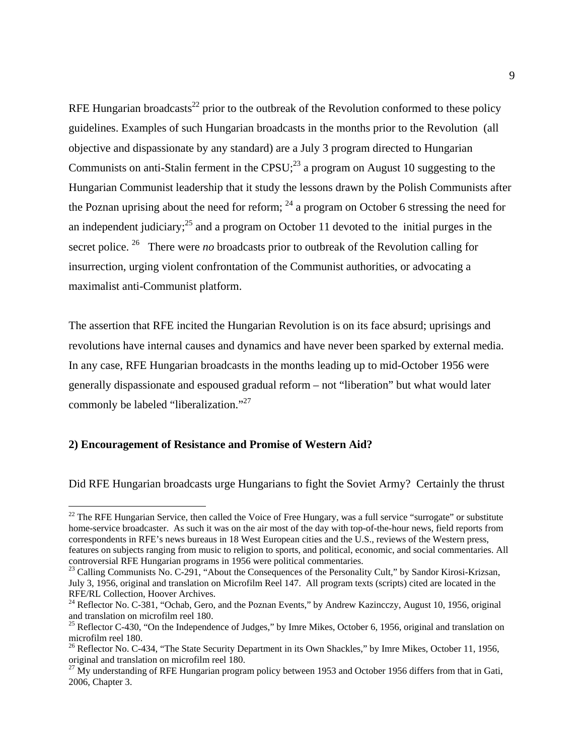RFE Hungarian broadcasts<sup>22</sup> prior to the outbreak of the Revolution conformed to these policy guidelines. Examples of such Hungarian broadcasts in the months prior to the Revolution (all objective and dispassionate by any standard) are a July 3 program directed to Hungarian Communists on anti-Stalin ferment in the CPSU; $^{23}$  a program on August 10 suggesting to the Hungarian Communist leadership that it study the lessons drawn by the Polish Communists after the Poznan uprising about the need for reform;  $^{24}$  a program on October 6 stressing the need for an independent judiciary;  $25$  and a program on October 11 devoted to the initial purges in the secret police. <sup>26</sup> There were *no* broadcasts prior to outbreak of the Revolution calling for insurrection, urging violent confrontation of the Communist authorities, or advocating a maximalist anti-Communist platform.

The assertion that RFE incited the Hungarian Revolution is on its face absurd; uprisings and revolutions have internal causes and dynamics and have never been sparked by external media. In any case, RFE Hungarian broadcasts in the months leading up to mid-October 1956 were generally dispassionate and espoused gradual reform – not "liberation" but what would later commonly be labeled "liberalization."27

### **2) Encouragement of Resistance and Promise of Western Aid?**

 $\overline{a}$ 

Did RFE Hungarian broadcasts urge Hungarians to fight the Soviet Army? Certainly the thrust

 $^{22}$  The RFE Hungarian Service, then called the Voice of Free Hungary, was a full service "surrogate" or substitute home-service broadcaster. As such it was on the air most of the day with top-of-the-hour news, field reports from correspondents in RFE's news bureaus in 18 West European cities and the U.S., reviews of the Western press, features on subjects ranging from music to religion to sports, and political, economic, and social commentaries. All controversial RFE Hungarian programs in 1956 were political commentaries.

<sup>&</sup>lt;sup>23</sup> Calling Communists No. C-291, "About the Consequences of the Personality Cult," by Sandor Kirosi-Krizsan, July 3, 1956, original and translation on Microfilm Reel 147. All program texts (scripts) cited are located in the RFE/RL Collection, Hoover Archives.

<sup>&</sup>lt;sup>24</sup> Reflector No. C-381, "Ochab, Gero, and the Poznan Events," by Andrew Kazincczy, August 10, 1956, original and translation on microfilm reel 180.

<sup>&</sup>lt;sup>25</sup> Reflector C-430, "On the Independence of Judges," by Imre Mikes, October 6, 1956, original and translation on microfilm reel 180.

<sup>&</sup>lt;sup>26</sup> Reflector No. C-434, "The State Security Department in its Own Shackles," by Imre Mikes, October 11, 1956, original and translation on microfilm reel 180.

 $^{27}$  My understanding of RFE Hungarian program policy between 1953 and October 1956 differs from that in Gati, 2006, Chapter 3.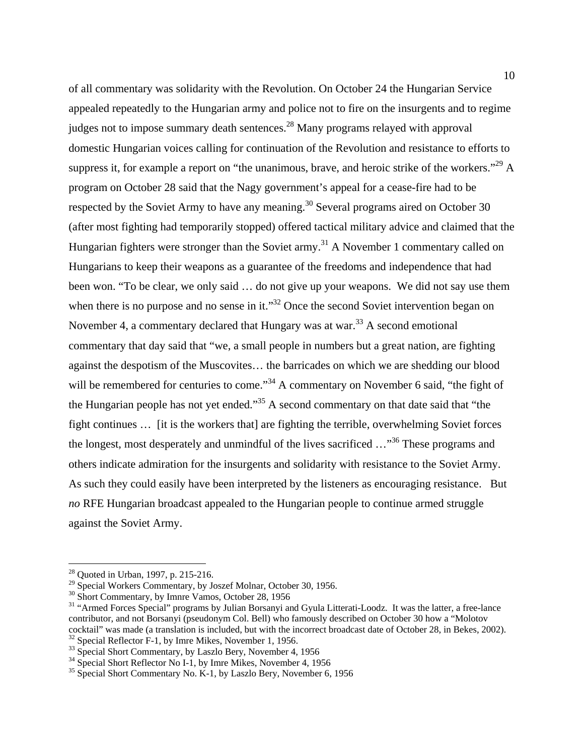of all commentary was solidarity with the Revolution. On October 24 the Hungarian Service appealed repeatedly to the Hungarian army and police not to fire on the insurgents and to regime judges not to impose summary death sentences.<sup>28</sup> Many programs relayed with approval domestic Hungarian voices calling for continuation of the Revolution and resistance to efforts to suppress it, for example a report on "the unanimous, brave, and heroic strike of the workers."<sup>29</sup> A program on October 28 said that the Nagy government's appeal for a cease-fire had to be respected by the Soviet Army to have any meaning.<sup>30</sup> Several programs aired on October 30 (after most fighting had temporarily stopped) offered tactical military advice and claimed that the Hungarian fighters were stronger than the Soviet army.<sup>31</sup> A November 1 commentary called on Hungarians to keep their weapons as a guarantee of the freedoms and independence that had been won. "To be clear, we only said … do not give up your weapons. We did not say use them when there is no purpose and no sense in it."<sup>32</sup> Once the second Soviet intervention began on November 4, a commentary declared that Hungary was at war.<sup>33</sup> A second emotional commentary that day said that "we, a small people in numbers but a great nation, are fighting against the despotism of the Muscovites… the barricades on which we are shedding our blood will be remembered for centuries to come."<sup>34</sup> A commentary on November 6 said, "the fight of the Hungarian people has not yet ended."35 A second commentary on that date said that "the fight continues … [it is the workers that] are fighting the terrible, overwhelming Soviet forces the longest, most desperately and unmindful of the lives sacrificed  $\ldots$ <sup>36</sup>. These programs and others indicate admiration for the insurgents and solidarity with resistance to the Soviet Army. As such they could easily have been interpreted by the listeners as encouraging resistance. But *no* RFE Hungarian broadcast appealed to the Hungarian people to continue armed struggle against the Soviet Army.

 $28$  Ouoted in Urban, 1997, p. 215-216.

<sup>&</sup>lt;sup>29</sup> Special Workers Commentary, by Joszef Molnar, October 30, 1956.<br><sup>30</sup> Short Commentary, by Imnre Vamos, October 28, 1956

<sup>&</sup>lt;sup>31</sup> "Armed Forces Special" programs by Julian Borsanyi and Gyula Litterati-Loodz. It was the latter, a free-lance contributor, and not Borsanyi (pseudonym Col. Bell) who famously described on October 30 how a "Molotov cocktail" was made (a translation is included, but with the incorrect broadcast date of October 28, in Bekes, 2002).<br><sup>32</sup> Special Reflector F-1, by Imre Mikes, November 1, 1956.<br><sup>33</sup> Special Short Commentary, by Laszlo Ber

 $34$  Special Short Reflector No I-1, by Imre Mikes, November 4, 1956

 $35$  Special Short Commentary No. K-1, by Laszlo Bery, November 6, 1956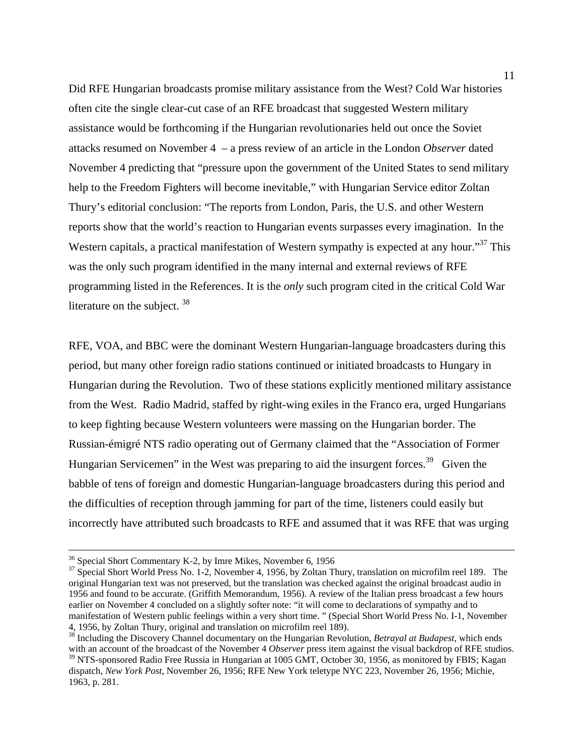Did RFE Hungarian broadcasts promise military assistance from the West? Cold War histories often cite the single clear-cut case of an RFE broadcast that suggested Western military assistance would be forthcoming if the Hungarian revolutionaries held out once the Soviet attacks resumed on November 4 – a press review of an article in the London *Observer* dated November 4 predicting that "pressure upon the government of the United States to send military help to the Freedom Fighters will become inevitable," with Hungarian Service editor Zoltan Thury's editorial conclusion: "The reports from London, Paris, the U.S. and other Western reports show that the world's reaction to Hungarian events surpasses every imagination. In the Western capitals, a practical manifestation of Western sympathy is expected at any hour."<sup>37</sup> This was the only such program identified in the many internal and external reviews of RFE programming listed in the References. It is the *only* such program cited in the critical Cold War literature on the subject. <sup>38</sup>

RFE, VOA, and BBC were the dominant Western Hungarian-language broadcasters during this period, but many other foreign radio stations continued or initiated broadcasts to Hungary in Hungarian during the Revolution. Two of these stations explicitly mentioned military assistance from the West. Radio Madrid, staffed by right-wing exiles in the Franco era, urged Hungarians to keep fighting because Western volunteers were massing on the Hungarian border. The Russian-émigré NTS radio operating out of Germany claimed that the "Association of Former Hungarian Servicemen" in the West was preparing to aid the insurgent forces.<sup>39</sup> Given the babble of tens of foreign and domestic Hungarian-language broadcasters during this period and the difficulties of reception through jamming for part of the time, listeners could easily but incorrectly have attributed such broadcasts to RFE and assumed that it was RFE that was urging

38 Including the Discovery Channel documentary on the Hungarian Revolution, *Betrayal at Budapest*, which ends with an account of the broadcast of the November 4 *Observer* press item against the visual backdrop of RFE studios. <sup>39</sup> NTS-sponsored Radio Free Russia in Hungarian at 1005 GMT, October 30, 1956, as monitored by FBIS; Kagan

 <sup>36</sup> Special Short Commentary K-2, by Imre Mikes, November 6, 1956

<sup>&</sup>lt;sup>37</sup> Special Short World Press No. 1-2, November 4, 1956, by Zoltan Thury, translation on microfilm reel 189. The original Hungarian text was not preserved, but the translation was checked against the original broadcast audio in 1956 and found to be accurate. (Griffith Memorandum, 1956). A review of the Italian press broadcast a few hours earlier on November 4 concluded on a slightly softer note: "it will come to declarations of sympathy and to manifestation of Western public feelings within a very short time. " (Special Short World Press No. I-1, November 4, 1956, by Zoltan Thury, original and translation on microfilm reel 189).

dispatch, *New York Post*, November 26, 1956; RFE New York teletype NYC 223, November 26, 1956; Michie, 1963, p. 281.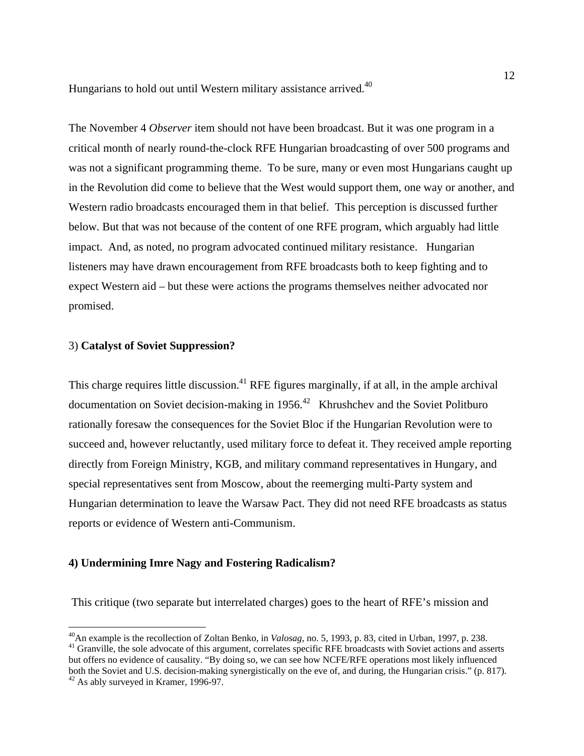Hungarians to hold out until Western military assistance arrived.<sup>40</sup>

The November 4 *Observer* item should not have been broadcast. But it was one program in a critical month of nearly round-the-clock RFE Hungarian broadcasting of over 500 programs and was not a significant programming theme. To be sure, many or even most Hungarians caught up in the Revolution did come to believe that the West would support them, one way or another, and Western radio broadcasts encouraged them in that belief. This perception is discussed further below. But that was not because of the content of one RFE program, which arguably had little impact. And, as noted, no program advocated continued military resistance. Hungarian listeners may have drawn encouragement from RFE broadcasts both to keep fighting and to expect Western aid – but these were actions the programs themselves neither advocated nor promised.

## 3) **Catalyst of Soviet Suppression?**

This charge requires little discussion.<sup>41</sup> RFE figures marginally, if at all, in the ample archival documentation on Soviet decision-making in 1956.42 Khrushchev and the Soviet Politburo rationally foresaw the consequences for the Soviet Bloc if the Hungarian Revolution were to succeed and, however reluctantly, used military force to defeat it. They received ample reporting directly from Foreign Ministry, KGB, and military command representatives in Hungary, and special representatives sent from Moscow, about the reemerging multi-Party system and Hungarian determination to leave the Warsaw Pact. They did not need RFE broadcasts as status reports or evidence of Western anti-Communism.

## **4) Undermining Imre Nagy and Fostering Radicalism?**

This critique (two separate but interrelated charges) goes to the heart of RFE's mission and

<sup>&</sup>lt;sup>40</sup>An example is the recollection of Zoltan Benko, in Valosag, no. 5, 1993, p. 83, cited in Urban, 1997, p. 238. <sup>41</sup> Granville, the sole advocate of this argument, correlates specific RFE broadcasts with Soviet actions and asserts but offers no evidence of causality. "By doing so, we can see how NCFE/RFE operations most likely influenced both the Soviet and U.S. decision-making synergistically on the eve of, and during, the Hungarian crisis." (p. 817).  $42$  As ably surveyed in Kramer, 1996-97.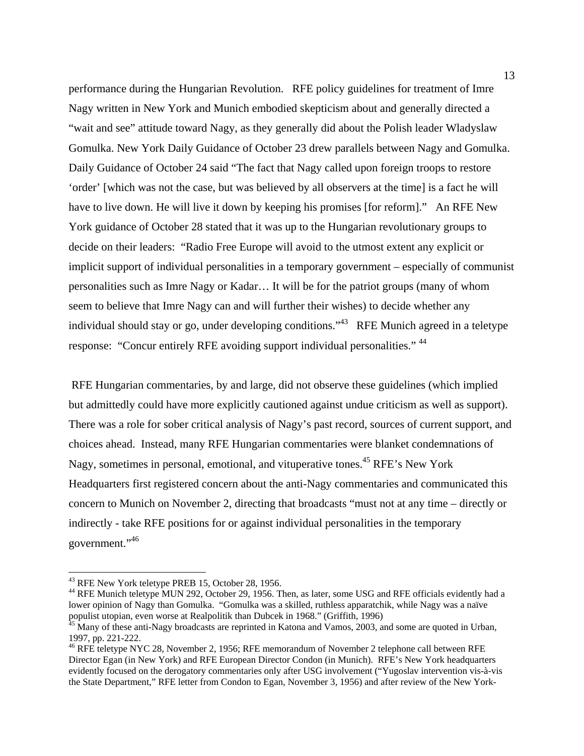performance during the Hungarian Revolution. RFE policy guidelines for treatment of Imre Nagy written in New York and Munich embodied skepticism about and generally directed a "wait and see" attitude toward Nagy, as they generally did about the Polish leader Wladyslaw Gomulka. New York Daily Guidance of October 23 drew parallels between Nagy and Gomulka. Daily Guidance of October 24 said "The fact that Nagy called upon foreign troops to restore 'order' [which was not the case, but was believed by all observers at the time] is a fact he will have to live down. He will live it down by keeping his promises [for reform]." An RFE New York guidance of October 28 stated that it was up to the Hungarian revolutionary groups to decide on their leaders: "Radio Free Europe will avoid to the utmost extent any explicit or implicit support of individual personalities in a temporary government – especially of communist personalities such as Imre Nagy or Kadar… It will be for the patriot groups (many of whom seem to believe that Imre Nagy can and will further their wishes) to decide whether any individual should stay or go, under developing conditions."<sup>43</sup> RFE Munich agreed in a teletype response: "Concur entirely RFE avoiding support individual personalities." <sup>44</sup>

 RFE Hungarian commentaries, by and large, did not observe these guidelines (which implied but admittedly could have more explicitly cautioned against undue criticism as well as support). There was a role for sober critical analysis of Nagy's past record, sources of current support, and choices ahead. Instead, many RFE Hungarian commentaries were blanket condemnations of Nagy, sometimes in personal, emotional, and vituperative tones.<sup>45</sup> RFE's New York Headquarters first registered concern about the anti-Nagy commentaries and communicated this concern to Munich on November 2, directing that broadcasts "must not at any time – directly or indirectly - take RFE positions for or against individual personalities in the temporary government."<sup>46</sup>

<sup>&</sup>lt;sup>43</sup> RFE New York teletype PREB 15, October 28, 1956.

<sup>&</sup>lt;sup>44</sup> RFE Munich teletype MUN 292, October 29, 1956. Then, as later, some USG and RFE officials evidently had a lower opinion of Nagy than Gomulka. "Gomulka was a skilled, ruthless apparatchik, while Nagy was a naïve populist utopian, even worse at Realpolitik than Dubcek in 1968." (Griffith, 1996)

 $5$  Many of these anti-Nagy broadcasts are reprinted in Katona and Vamos, 2003, and some are quoted in Urban, 1997, pp. 221-222.

<sup>&</sup>lt;sup>46</sup> RFE teletype NYC 28, November 2, 1956; RFE memorandum of November 2 telephone call between RFE Director Egan (in New York) and RFE European Director Condon (in Munich). RFE's New York headquarters evidently focused on the derogatory commentaries only after USG involvement ("Yugoslav intervention vis-à-vis the State Department," RFE letter from Condon to Egan, November 3, 1956) and after review of the New York-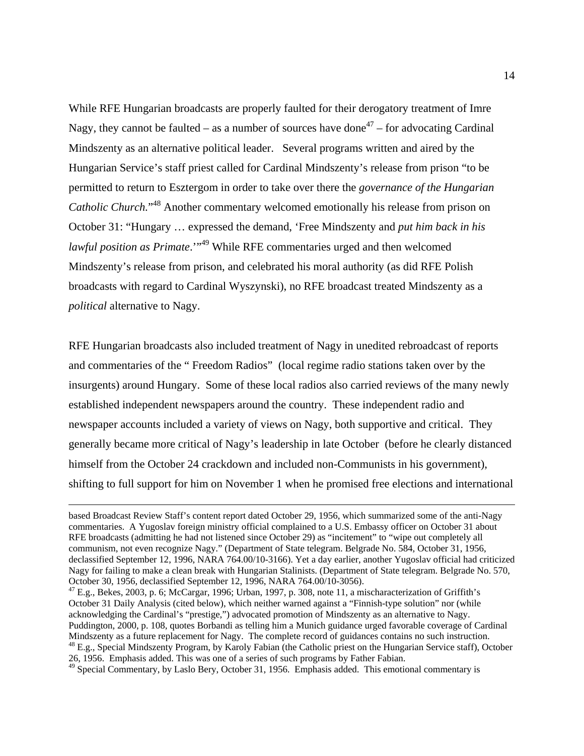While RFE Hungarian broadcasts are properly faulted for their derogatory treatment of Imre Nagy, they cannot be faulted – as a number of sources have done<sup>47</sup> – for advocating Cardinal Mindszenty as an alternative political leader. Several programs written and aired by the Hungarian Service's staff priest called for Cardinal Mindszenty's release from prison "to be permitted to return to Esztergom in order to take over there the *governance of the Hungarian*  Catholic Church."<sup>48</sup> Another commentary welcomed emotionally his release from prison on October 31: "Hungary … expressed the demand, 'Free Mindszenty and *put him back in his lawful position as Primate.*"<sup>49</sup> While RFE commentaries urged and then welcomed Mindszenty's release from prison, and celebrated his moral authority (as did RFE Polish broadcasts with regard to Cardinal Wyszynski), no RFE broadcast treated Mindszenty as a *political* alternative to Nagy.

RFE Hungarian broadcasts also included treatment of Nagy in unedited rebroadcast of reports and commentaries of the " Freedom Radios" (local regime radio stations taken over by the insurgents) around Hungary. Some of these local radios also carried reviews of the many newly established independent newspapers around the country. These independent radio and newspaper accounts included a variety of views on Nagy, both supportive and critical. They generally became more critical of Nagy's leadership in late October (before he clearly distanced himself from the October 24 crackdown and included non-Communists in his government), shifting to full support for him on November 1 when he promised free elections and international

<sup>49</sup> Special Commentary, by Laslo Bery, October 31, 1956. Emphasis added. This emotional commentary is

based Broadcast Review Staff's content report dated October 29, 1956, which summarized some of the anti-Nagy commentaries. A Yugoslav foreign ministry official complained to a U.S. Embassy officer on October 31 about RFE broadcasts (admitting he had not listened since October 29) as "incitement" to "wipe out completely all communism, not even recognize Nagy." (Department of State telegram. Belgrade No. 584, October 31, 1956, declassified September 12, 1996, NARA 764.00/10-3166). Yet a day earlier, another Yugoslav official had criticized Nagy for failing to make a clean break with Hungarian Stalinists. (Department of State telegram. Belgrade No. 570, October 30, 1956, declassified September 12, 1996, NARA 764.00/10-3056).

<sup>47</sup> E.g., Bekes, 2003, p. 6; McCargar, 1996; Urban, 1997, p. 308, note 11, a mischaracterization of Griffith's October 31 Daily Analysis (cited below), which neither warned against a "Finnish-type solution" nor (while acknowledging the Cardinal's "prestige,") advocated promotion of Mindszenty as an alternative to Nagy. Puddington, 2000, p. 108, quotes Borbandi as telling him a Munich guidance urged favorable coverage of Cardinal Mindszenty as a future replacement for Nagy. The complete record of guidances contains no such instruction.<br><sup>48</sup> E.g., Special Mindszenty Program, by Karoly Fabian (the Catholic priest on the Hungarian Service staff), Octo 26, 1956. Emphasis added. This was one of a series of such programs by Father Fabian.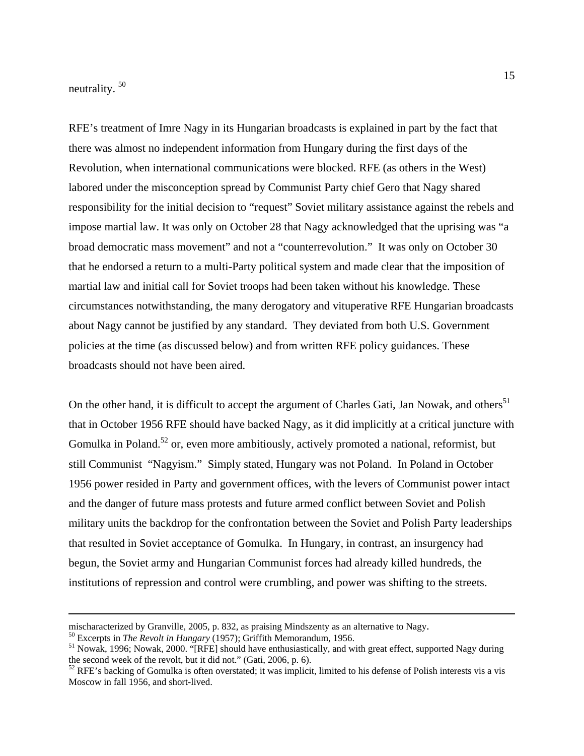neutrality. 50

 $\overline{a}$ 

RFE's treatment of Imre Nagy in its Hungarian broadcasts is explained in part by the fact that there was almost no independent information from Hungary during the first days of the Revolution, when international communications were blocked. RFE (as others in the West) labored under the misconception spread by Communist Party chief Gero that Nagy shared responsibility for the initial decision to "request" Soviet military assistance against the rebels and impose martial law. It was only on October 28 that Nagy acknowledged that the uprising was "a broad democratic mass movement" and not a "counterrevolution." It was only on October 30 that he endorsed a return to a multi-Party political system and made clear that the imposition of martial law and initial call for Soviet troops had been taken without his knowledge. These circumstances notwithstanding, the many derogatory and vituperative RFE Hungarian broadcasts about Nagy cannot be justified by any standard. They deviated from both U.S. Government policies at the time (as discussed below) and from written RFE policy guidances. These broadcasts should not have been aired.

On the other hand, it is difficult to accept the argument of Charles Gati, Jan Nowak, and others<sup>51</sup> that in October 1956 RFE should have backed Nagy, as it did implicitly at a critical juncture with Gomulka in Poland.<sup>52</sup> or, even more ambitiously, actively promoted a national, reformist, but still Communist "Nagyism." Simply stated, Hungary was not Poland. In Poland in October 1956 power resided in Party and government offices, with the levers of Communist power intact and the danger of future mass protests and future armed conflict between Soviet and Polish military units the backdrop for the confrontation between the Soviet and Polish Party leaderships that resulted in Soviet acceptance of Gomulka. In Hungary, in contrast, an insurgency had begun, the Soviet army and Hungarian Communist forces had already killed hundreds, the institutions of repression and control were crumbling, and power was shifting to the streets.

mischaracterized by Granville, 2005, p. 832, as praising Mindszenty as an alternative to Nagy.<br><sup>50</sup> Excerpts in *The Revolt in Hungary* (1957); Griffith Memorandum, 1956.<br><sup>51</sup> Nowak, 1996; Nowak, 2000. "[RFE] should have e

 $52$  RFE's backing of Gomulka is often overstated; it was implicit, limited to his defense of Polish interests vis a vis Moscow in fall 1956, and short-lived.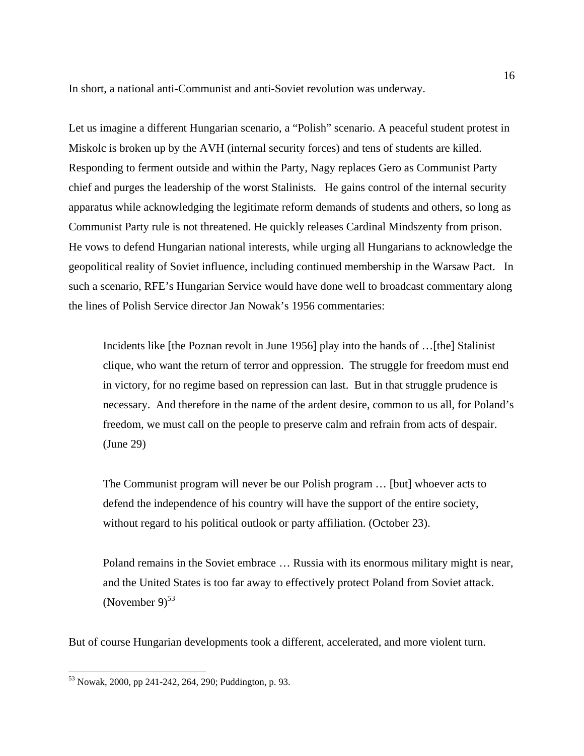In short, a national anti-Communist and anti-Soviet revolution was underway.

Let us imagine a different Hungarian scenario, a "Polish" scenario. A peaceful student protest in Miskolc is broken up by the AVH (internal security forces) and tens of students are killed. Responding to ferment outside and within the Party, Nagy replaces Gero as Communist Party chief and purges the leadership of the worst Stalinists. He gains control of the internal security apparatus while acknowledging the legitimate reform demands of students and others, so long as Communist Party rule is not threatened. He quickly releases Cardinal Mindszenty from prison. He vows to defend Hungarian national interests, while urging all Hungarians to acknowledge the geopolitical reality of Soviet influence, including continued membership in the Warsaw Pact. In such a scenario, RFE's Hungarian Service would have done well to broadcast commentary along the lines of Polish Service director Jan Nowak's 1956 commentaries:

 Incidents like [the Poznan revolt in June 1956] play into the hands of …[the] Stalinist clique, who want the return of terror and oppression. The struggle for freedom must end in victory, for no regime based on repression can last. But in that struggle prudence is necessary. And therefore in the name of the ardent desire, common to us all, for Poland's freedom, we must call on the people to preserve calm and refrain from acts of despair. (June 29)

 The Communist program will never be our Polish program … [but] whoever acts to defend the independence of his country will have the support of the entire society, without regard to his political outlook or party affiliation. (October 23).

 Poland remains in the Soviet embrace … Russia with its enormous military might is near, and the United States is too far away to effectively protect Poland from Soviet attack. (November  $9^{53}$ 

But of course Hungarian developments took a different, accelerated, and more violent turn.

<sup>53</sup> Nowak, 2000, pp 241-242, 264, 290; Puddington, p. 93.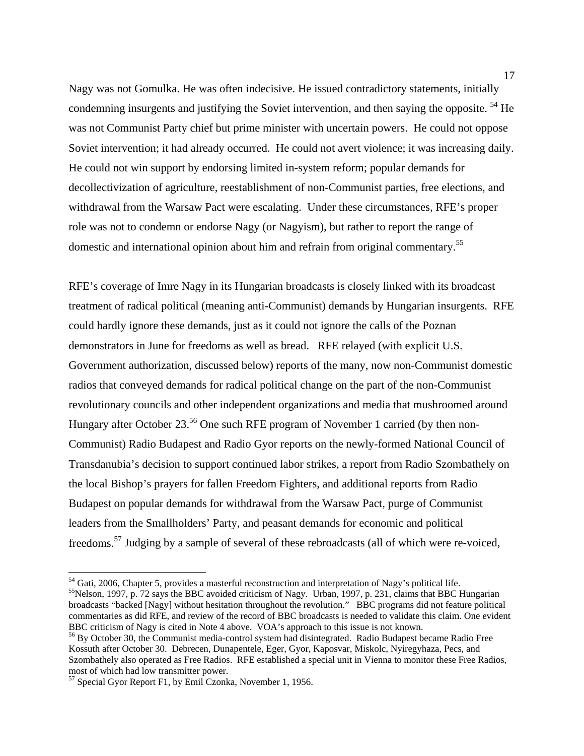Nagy was not Gomulka. He was often indecisive. He issued contradictory statements, initially condemning insurgents and justifying the Soviet intervention, and then saying the opposite. <sup>54</sup> He was not Communist Party chief but prime minister with uncertain powers. He could not oppose Soviet intervention; it had already occurred. He could not avert violence; it was increasing daily. He could not win support by endorsing limited in-system reform; popular demands for decollectivization of agriculture, reestablishment of non-Communist parties, free elections, and withdrawal from the Warsaw Pact were escalating. Under these circumstances, RFE's proper role was not to condemn or endorse Nagy (or Nagyism), but rather to report the range of domestic and international opinion about him and refrain from original commentary.<sup>55</sup>

RFE's coverage of Imre Nagy in its Hungarian broadcasts is closely linked with its broadcast treatment of radical political (meaning anti-Communist) demands by Hungarian insurgents. RFE could hardly ignore these demands, just as it could not ignore the calls of the Poznan demonstrators in June for freedoms as well as bread. RFE relayed (with explicit U.S. Government authorization, discussed below) reports of the many, now non-Communist domestic radios that conveyed demands for radical political change on the part of the non-Communist revolutionary councils and other independent organizations and media that mushroomed around Hungary after October  $23^{56}$  One such RFE program of November 1 carried (by then non-Communist) Radio Budapest and Radio Gyor reports on the newly-formed National Council of Transdanubia's decision to support continued labor strikes, a report from Radio Szombathely on the local Bishop's prayers for fallen Freedom Fighters, and additional reports from Radio Budapest on popular demands for withdrawal from the Warsaw Pact, purge of Communist leaders from the Smallholders' Party, and peasant demands for economic and political freedoms.57 Judging by a sample of several of these rebroadcasts (all of which were re-voiced,

<sup>&</sup>lt;sup>54</sup> Gati, 2006, Chapter 5, provides a masterful reconstruction and interpretation of Nagy's political life.  $^{55}$ Nelson, 1997, p. 72 says the BBC avoided criticism of Nagy. Urban, 1997, p. 231, claims that BBC Hungarian broadcasts "backed [Nagy] without hesitation throughout the revolution." BBC programs did not feature political commentaries as did RFE, and review of the record of BBC broadcasts is needed to validate this claim. One evident BBC criticism of Nagy is cited in Note 4 above. VOA's approach to this issue is not known.

<sup>&</sup>lt;sup>56</sup> By October 30, the Communist media-control system had disintegrated. Radio Budapest became Radio Free Kossuth after October 30. Debrecen, Dunapentele, Eger, Gyor, Kaposvar, Miskolc, Nyiregyhaza, Pecs, and Szombathely also operated as Free Radios. RFE established a special unit in Vienna to monitor these Free Radios, most of which had low transmitter power.

<sup>&</sup>lt;sup>57</sup> Special Gyor Report F1, by Emil Czonka, November 1, 1956.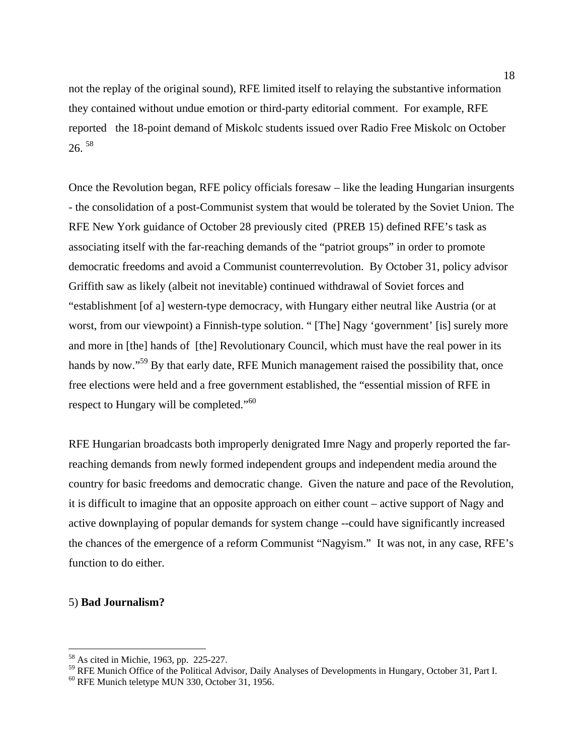not the replay of the original sound), RFE limited itself to relaying the substantive information they contained without undue emotion or third-party editorial comment. For example, RFE reported the 18-point demand of Miskolc students issued over Radio Free Miskolc on October  $26.$ <sup>58</sup>

Once the Revolution began, RFE policy officials foresaw – like the leading Hungarian insurgents - the consolidation of a post-Communist system that would be tolerated by the Soviet Union. The RFE New York guidance of October 28 previously cited (PREB 15) defined RFE's task as associating itself with the far-reaching demands of the "patriot groups" in order to promote democratic freedoms and avoid a Communist counterrevolution. By October 31, policy advisor Griffith saw as likely (albeit not inevitable) continued withdrawal of Soviet forces and "establishment [of a] western-type democracy, with Hungary either neutral like Austria (or at worst, from our viewpoint) a Finnish-type solution. " [The] Nagy 'government' [is] surely more and more in [the] hands of [the] Revolutionary Council, which must have the real power in its hands by now."<sup>59</sup> By that early date, RFE Munich management raised the possibility that, once free elections were held and a free government established, the "essential mission of RFE in respect to Hungary will be completed."<sup>60</sup>

RFE Hungarian broadcasts both improperly denigrated Imre Nagy and properly reported the farreaching demands from newly formed independent groups and independent media around the country for basic freedoms and democratic change. Given the nature and pace of the Revolution, it is difficult to imagine that an opposite approach on either count – active support of Nagy and active downplaying of popular demands for system change --could have significantly increased the chances of the emergence of a reform Communist "Nagyism." It was not, in any case, RFE's function to do either.

#### 5) **Bad Journalism?**

<sup>58</sup> As cited in Michie, 1963, pp. 225-227.

<sup>&</sup>lt;sup>59</sup> RFE Munich Office of the Political Advisor, Daily Analyses of Developments in Hungary, October 31, Part I.<br><sup>60</sup> RFE Munich teletype MUN 330, October 31, 1956.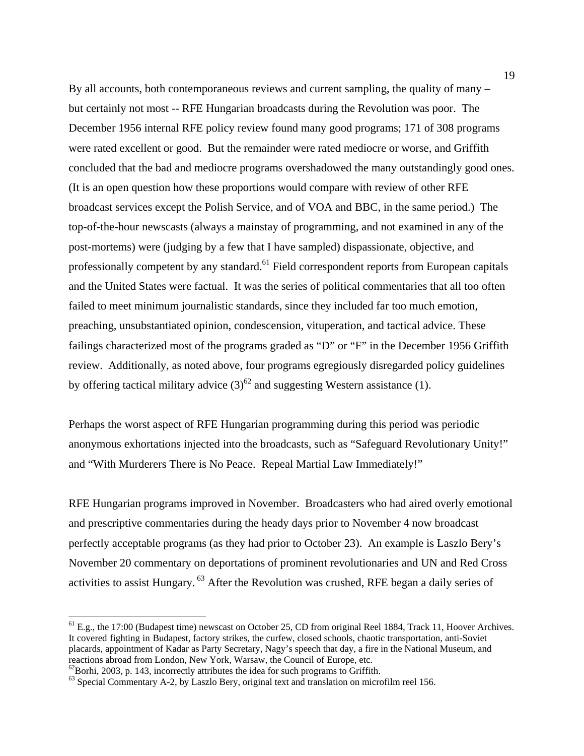By all accounts, both contemporaneous reviews and current sampling, the quality of many – but certainly not most -- RFE Hungarian broadcasts during the Revolution was poor. The December 1956 internal RFE policy review found many good programs; 171 of 308 programs were rated excellent or good. But the remainder were rated mediocre or worse, and Griffith concluded that the bad and mediocre programs overshadowed the many outstandingly good ones. (It is an open question how these proportions would compare with review of other RFE broadcast services except the Polish Service, and of VOA and BBC, in the same period.) The top-of-the-hour newscasts (always a mainstay of programming, and not examined in any of the post-mortems) were (judging by a few that I have sampled) dispassionate, objective, and professionally competent by any standard.<sup>61</sup> Field correspondent reports from European capitals and the United States were factual. It was the series of political commentaries that all too often failed to meet minimum journalistic standards, since they included far too much emotion, preaching, unsubstantiated opinion, condescension, vituperation, and tactical advice. These failings characterized most of the programs graded as "D" or "F" in the December 1956 Griffith review. Additionally, as noted above, four programs egregiously disregarded policy guidelines by offering tactical military advice  $(3)^{62}$  and suggesting Western assistance (1).

Perhaps the worst aspect of RFE Hungarian programming during this period was periodic anonymous exhortations injected into the broadcasts, such as "Safeguard Revolutionary Unity!" and "With Murderers There is No Peace. Repeal Martial Law Immediately!"

RFE Hungarian programs improved in November. Broadcasters who had aired overly emotional and prescriptive commentaries during the heady days prior to November 4 now broadcast perfectly acceptable programs (as they had prior to October 23). An example is Laszlo Bery's November 20 commentary on deportations of prominent revolutionaries and UN and Red Cross activities to assist Hungary. 63 After the Revolution was crushed, RFE began a daily series of

 $<sup>61</sup>$  E.g., the 17:00 (Budapest time) newscast on October 25, CD from original Reel 1884, Track 11, Hoover Archives.</sup> It covered fighting in Budapest, factory strikes, the curfew, closed schools, chaotic transportation, anti-Soviet placards, appointment of Kadar as Party Secretary, Nagy's speech that day, a fire in the National Museum, and reactions abroad from London, New York, Warsaw, the Council of Europe, etc.<br><sup>62</sup>Borhi, 2003, p. 143, incorrectly attributes the idea for such programs to Griffith.<br><sup>63</sup> Special Commentary A-2, by Laszlo Bery, original text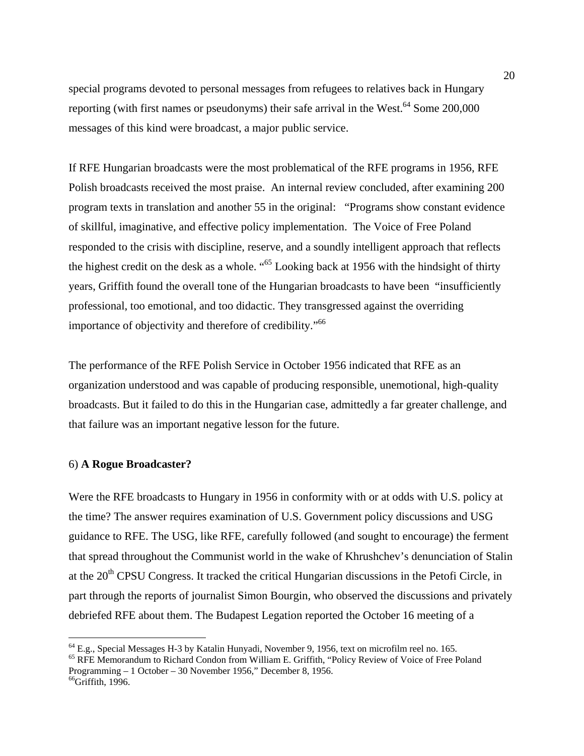special programs devoted to personal messages from refugees to relatives back in Hungary reporting (with first names or pseudonyms) their safe arrival in the West. $^{64}$  Some 200,000 messages of this kind were broadcast, a major public service.

If RFE Hungarian broadcasts were the most problematical of the RFE programs in 1956, RFE Polish broadcasts received the most praise. An internal review concluded, after examining 200 program texts in translation and another 55 in the original: "Programs show constant evidence of skillful, imaginative, and effective policy implementation. The Voice of Free Poland responded to the crisis with discipline, reserve, and a soundly intelligent approach that reflects the highest credit on the desk as a whole. "65 Looking back at 1956 with the hindsight of thirty years, Griffith found the overall tone of the Hungarian broadcasts to have been "insufficiently professional, too emotional, and too didactic. They transgressed against the overriding importance of objectivity and therefore of credibility."<sup>66</sup>

The performance of the RFE Polish Service in October 1956 indicated that RFE as an organization understood and was capable of producing responsible, unemotional, high-quality broadcasts. But it failed to do this in the Hungarian case, admittedly a far greater challenge, and that failure was an important negative lesson for the future.

## 6) **A Rogue Broadcaster?**

Were the RFE broadcasts to Hungary in 1956 in conformity with or at odds with U.S. policy at the time? The answer requires examination of U.S. Government policy discussions and USG guidance to RFE. The USG, like RFE, carefully followed (and sought to encourage) the ferment that spread throughout the Communist world in the wake of Khrushchev's denunciation of Stalin at the  $20<sup>th</sup>$  CPSU Congress. It tracked the critical Hungarian discussions in the Petofi Circle, in part through the reports of journalist Simon Bourgin, who observed the discussions and privately debriefed RFE about them. The Budapest Legation reported the October 16 meeting of a

<sup>&</sup>lt;sup>64</sup> E.g., Special Messages H-3 by Katalin Hunyadi, November 9, 1956, text on microfilm reel no. 165.

<sup>&</sup>lt;sup>65</sup> RFE Memorandum to Richard Condon from William E. Griffith, "Policy Review of Voice of Free Poland Programming – 1 October – 30 November 1956," December 8, 1956. 66Griffith, 1996.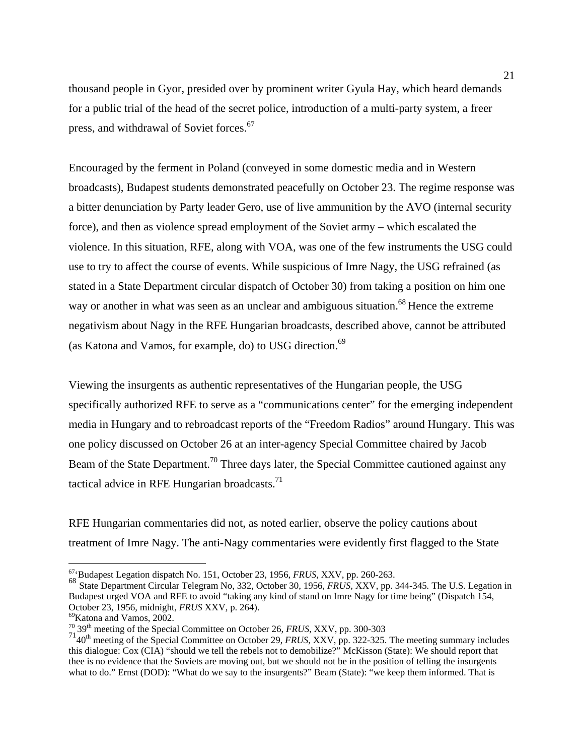thousand people in Gyor, presided over by prominent writer Gyula Hay, which heard demands for a public trial of the head of the secret police, introduction of a multi-party system, a freer press, and withdrawal of Soviet forces.<sup>67</sup>

Encouraged by the ferment in Poland (conveyed in some domestic media and in Western broadcasts), Budapest students demonstrated peacefully on October 23. The regime response was a bitter denunciation by Party leader Gero, use of live ammunition by the AVO (internal security force), and then as violence spread employment of the Soviet army – which escalated the violence. In this situation, RFE, along with VOA, was one of the few instruments the USG could use to try to affect the course of events. While suspicious of Imre Nagy, the USG refrained (as stated in a State Department circular dispatch of October 30) from taking a position on him one way or another in what was seen as an unclear and ambiguous situation.<sup>68</sup> Hence the extreme negativism about Nagy in the RFE Hungarian broadcasts, described above, cannot be attributed (as Katona and Vamos, for example, do) to USG direction. $69$ 

Viewing the insurgents as authentic representatives of the Hungarian people, the USG specifically authorized RFE to serve as a "communications center" for the emerging independent media in Hungary and to rebroadcast reports of the "Freedom Radios" around Hungary. This was one policy discussed on October 26 at an inter-agency Special Committee chaired by Jacob Beam of the State Department.<sup>70</sup> Three days later, the Special Committee cautioned against any tactical advice in RFE Hungarian broadcasts. $^{71}$ 

RFE Hungarian commentaries did not, as noted earlier, observe the policy cautions about treatment of Imre Nagy. The anti-Nagy commentaries were evidently first flagged to the State

 $^{67}$ Budapest Legation dispatch No. 151, October 23, 1956, FRUS, XXV, pp. 260-263.

<sup>67&#</sup>x27;Budapest Legation dispatch No. 151, October 23, 1956, *FRUS*, XXV, pp. 260-263. 68 State Department Circular Telegram No, 332, October 30, 1956*, FRUS*, XXV, pp. 344-345*.* The U.S. Legation in Budapest urged VOA and RFE to avoid "taking any kind of stand on Imre Nagy for time being" (Dispatch 154, October 23, 1956, midnight, *FRUS* XXV, p. 264).<br><sup>69</sup>Katona and Vamos, 2002.<br><sup>70</sup> 39<sup>th</sup> meeting of the Special Committee on October 26, *FRUS*, XXV, pp. 300-303

 $71^{20}$ th meeting of the Special Committee on October 29, *FRUS*, XXV, pp. 322-325. The meeting summary includes this dialogue: Cox (CIA) "should we tell the rebels not to demobilize?" McKisson (State): We should report that thee is no evidence that the Soviets are moving out, but we should not be in the position of telling the insurgents what to do." Ernst (DOD): "What do we say to the insurgents?" Beam (State): "we keep them informed. That is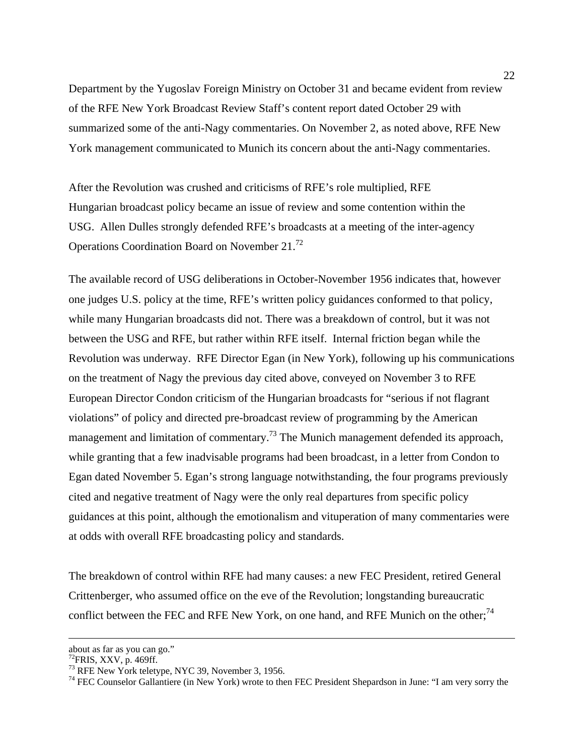Department by the Yugoslav Foreign Ministry on October 31 and became evident from review of the RFE New York Broadcast Review Staff's content report dated October 29 with summarized some of the anti-Nagy commentaries. On November 2, as noted above, RFE New York management communicated to Munich its concern about the anti-Nagy commentaries.

After the Revolution was crushed and criticisms of RFE's role multiplied, RFE Hungarian broadcast policy became an issue of review and some contention within the USG. Allen Dulles strongly defended RFE's broadcasts at a meeting of the inter-agency Operations Coordination Board on November 21.<sup>72</sup>

The available record of USG deliberations in October-November 1956 indicates that, however one judges U.S. policy at the time, RFE's written policy guidances conformed to that policy, while many Hungarian broadcasts did not. There was a breakdown of control, but it was not between the USG and RFE, but rather within RFE itself. Internal friction began while the Revolution was underway. RFE Director Egan (in New York), following up his communications on the treatment of Nagy the previous day cited above, conveyed on November 3 to RFE European Director Condon criticism of the Hungarian broadcasts for "serious if not flagrant violations" of policy and directed pre-broadcast review of programming by the American management and limitation of commentary.<sup>73</sup> The Munich management defended its approach, while granting that a few inadvisable programs had been broadcast, in a letter from Condon to Egan dated November 5. Egan's strong language notwithstanding, the four programs previously cited and negative treatment of Nagy were the only real departures from specific policy guidances at this point, although the emotionalism and vituperation of many commentaries were at odds with overall RFE broadcasting policy and standards.

The breakdown of control within RFE had many causes: a new FEC President, retired General Crittenberger, who assumed office on the eve of the Revolution; longstanding bureaucratic conflict between the FEC and RFE New York, on one hand, and RFE Munich on the other;<sup>74</sup>

about as far as you can go."

<sup>72</sup>FRIS, XXV, p. 469ff.

<sup>73</sup> RFE New York teletype, NYC 39, November 3, 1956.

 $74$  FEC Counselor Gallantiere (in New York) wrote to then FEC President Shepardson in June: "I am very sorry the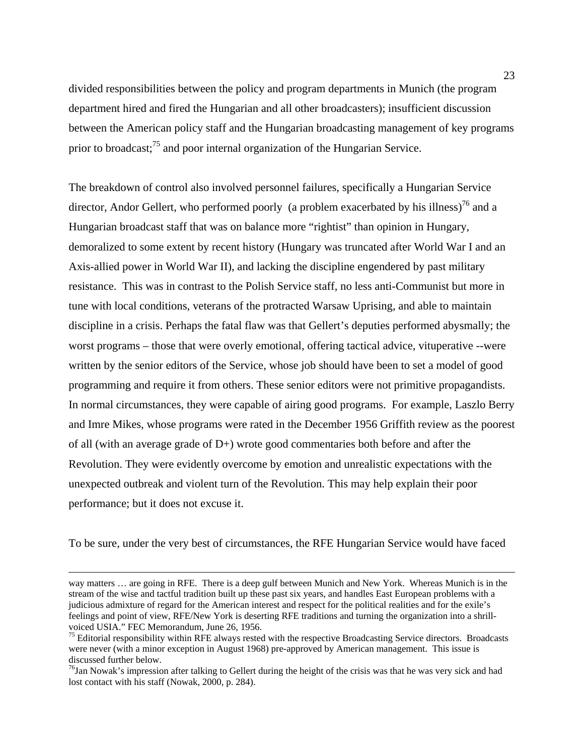divided responsibilities between the policy and program departments in Munich (the program department hired and fired the Hungarian and all other broadcasters); insufficient discussion between the American policy staff and the Hungarian broadcasting management of key programs prior to broadcast; $^{75}$  and poor internal organization of the Hungarian Service.

The breakdown of control also involved personnel failures, specifically a Hungarian Service director, Andor Gellert, who performed poorly (a problem exacerbated by his illness)<sup>76</sup> and a Hungarian broadcast staff that was on balance more "rightist" than opinion in Hungary, demoralized to some extent by recent history (Hungary was truncated after World War I and an Axis-allied power in World War II), and lacking the discipline engendered by past military resistance. This was in contrast to the Polish Service staff, no less anti-Communist but more in tune with local conditions, veterans of the protracted Warsaw Uprising, and able to maintain discipline in a crisis. Perhaps the fatal flaw was that Gellert's deputies performed abysmally; the worst programs – those that were overly emotional, offering tactical advice, vituperative --were written by the senior editors of the Service, whose job should have been to set a model of good programming and require it from others. These senior editors were not primitive propagandists. In normal circumstances, they were capable of airing good programs. For example, Laszlo Berry and Imre Mikes, whose programs were rated in the December 1956 Griffith review as the poorest of all (with an average grade of D+) wrote good commentaries both before and after the Revolution. They were evidently overcome by emotion and unrealistic expectations with the unexpected outbreak and violent turn of the Revolution. This may help explain their poor performance; but it does not excuse it.

To be sure, under the very best of circumstances, the RFE Hungarian Service would have faced

way matters … are going in RFE. There is a deep gulf between Munich and New York. Whereas Munich is in the stream of the wise and tactful tradition built up these past six years, and handles East European problems with a judicious admixture of regard for the American interest and respect for the political realities and for the exile's feelings and point of view, RFE/New York is deserting RFE traditions and turning the organization into a shrillvoiced USIA." FEC Memorandum, June 26, 1956.

<sup>&</sup>lt;sup>75</sup> Editorial responsibility within RFE always rested with the respective Broadcasting Service directors. Broadcasts were never (with a minor exception in August 1968) pre-approved by American management. This issue is discussed further below.

 $76$ Jan Nowak's impression after talking to Gellert during the height of the crisis was that he was very sick and had lost contact with his staff (Nowak, 2000, p. 284).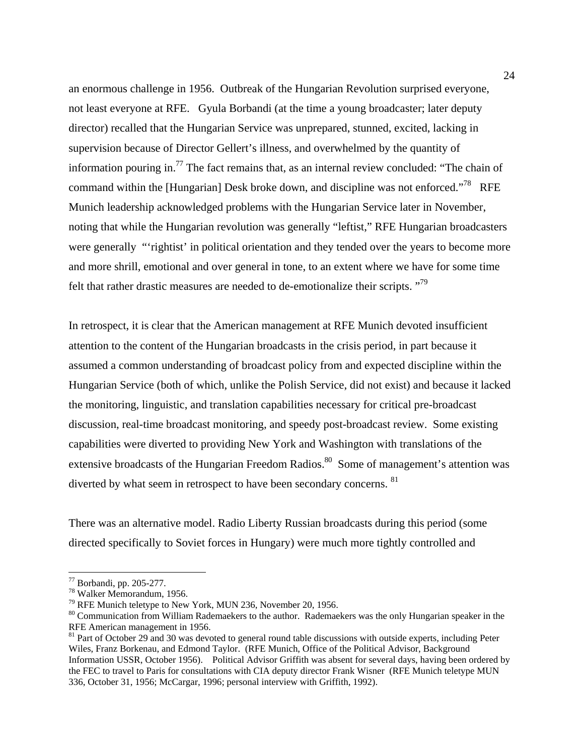an enormous challenge in 1956. Outbreak of the Hungarian Revolution surprised everyone, not least everyone at RFE. Gyula Borbandi (at the time a young broadcaster; later deputy director) recalled that the Hungarian Service was unprepared, stunned, excited, lacking in supervision because of Director Gellert's illness, and overwhelmed by the quantity of information pouring in.<sup>77</sup> The fact remains that, as an internal review concluded: "The chain of command within the [Hungarian] Desk broke down, and discipline was not enforced."<sup>78</sup> RFE Munich leadership acknowledged problems with the Hungarian Service later in November, noting that while the Hungarian revolution was generally "leftist," RFE Hungarian broadcasters were generally "'rightist' in political orientation and they tended over the years to become more and more shrill, emotional and over general in tone, to an extent where we have for some time felt that rather drastic measures are needed to de-emotionalize their scripts. "79

In retrospect, it is clear that the American management at RFE Munich devoted insufficient attention to the content of the Hungarian broadcasts in the crisis period, in part because it assumed a common understanding of broadcast policy from and expected discipline within the Hungarian Service (both of which, unlike the Polish Service, did not exist) and because it lacked the monitoring, linguistic, and translation capabilities necessary for critical pre-broadcast discussion, real-time broadcast monitoring, and speedy post-broadcast review. Some existing capabilities were diverted to providing New York and Washington with translations of the extensive broadcasts of the Hungarian Freedom Radios.<sup>80</sup> Some of management's attention was diverted by what seem in retrospect to have been secondary concerns. <sup>81</sup>

There was an alternative model. Radio Liberty Russian broadcasts during this period (some directed specifically to Soviet forces in Hungary) were much more tightly controlled and

<sup>77</sup> Borbandi, pp. 205-277.

<sup>78</sup> Walker Memorandum, 1956.

<sup>&</sup>lt;sup>79</sup> RFE Munich teletype to New York, MUN 236, November 20, 1956.

<sup>80</sup> Communication from William Rademaekers to the author. Rademaekers was the only Hungarian speaker in the RFE American management in 1956.

<sup>&</sup>lt;sup>81</sup> Part of October 29 and 30 was devoted to general round table discussions with outside experts, including Peter Wiles, Franz Borkenau, and Edmond Taylor. (RFE Munich, Office of the Political Advisor, Background Information USSR, October 1956). Political Advisor Griffith was absent for several days, having been ordered by the FEC to travel to Paris for consultations with CIA deputy director Frank Wisner (RFE Munich teletype MUN 336, October 31, 1956; McCargar, 1996; personal interview with Griffith, 1992).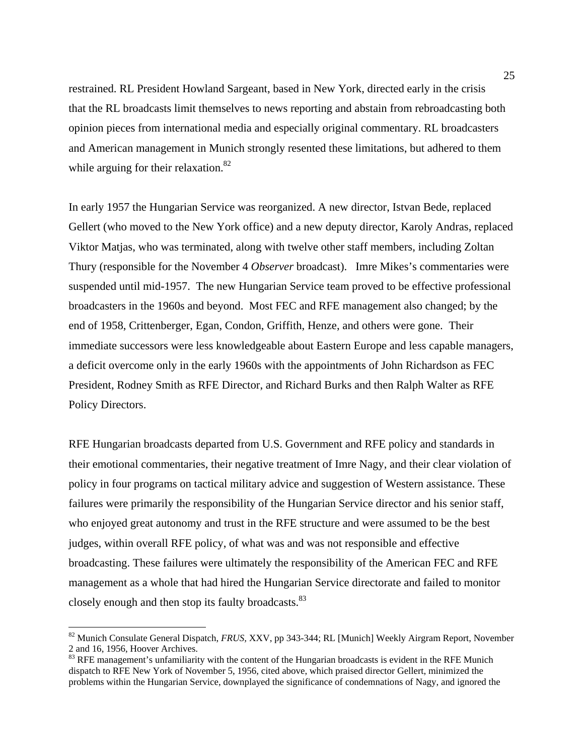restrained. RL President Howland Sargeant, based in New York, directed early in the crisis that the RL broadcasts limit themselves to news reporting and abstain from rebroadcasting both opinion pieces from international media and especially original commentary. RL broadcasters and American management in Munich strongly resented these limitations, but adhered to them while arguing for their relaxation. $82$ 

In early 1957 the Hungarian Service was reorganized. A new director, Istvan Bede, replaced Gellert (who moved to the New York office) and a new deputy director, Karoly Andras, replaced Viktor Matjas, who was terminated, along with twelve other staff members, including Zoltan Thury (responsible for the November 4 *Observer* broadcast).Imre Mikes's commentaries were suspended until mid-1957. The new Hungarian Service team proved to be effective professional broadcasters in the 1960s and beyond. Most FEC and RFE management also changed; by the end of 1958, Crittenberger, Egan, Condon, Griffith, Henze, and others were gone. Their immediate successors were less knowledgeable about Eastern Europe and less capable managers, a deficit overcome only in the early 1960s with the appointments of John Richardson as FEC President, Rodney Smith as RFE Director, and Richard Burks and then Ralph Walter as RFE Policy Directors.

RFE Hungarian broadcasts departed from U.S. Government and RFE policy and standards in their emotional commentaries, their negative treatment of Imre Nagy, and their clear violation of policy in four programs on tactical military advice and suggestion of Western assistance. These failures were primarily the responsibility of the Hungarian Service director and his senior staff, who enjoyed great autonomy and trust in the RFE structure and were assumed to be the best judges, within overall RFE policy, of what was and was not responsible and effective broadcasting. These failures were ultimately the responsibility of the American FEC and RFE management as a whole that had hired the Hungarian Service directorate and failed to monitor closely enough and then stop its faulty broadcasts.<sup>83</sup>

<sup>82</sup> Munich Consulate General Dispatch, *FRUS,* XXV, pp 343-344; RL [Munich] Weekly Airgram Report, November 2 and 16, 1956, Hoover Archives.

 $83$  RFE management's unfamiliarity with the content of the Hungarian broadcasts is evident in the RFE Munich dispatch to RFE New York of November 5, 1956, cited above, which praised director Gellert, minimized the problems within the Hungarian Service, downplayed the significance of condemnations of Nagy, and ignored the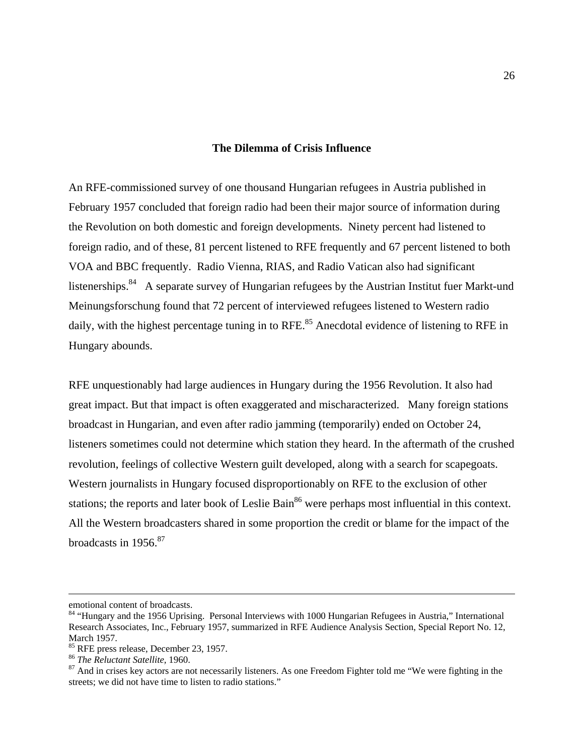# **The Dilemma of Crisis Influence**

An RFE-commissioned survey of one thousand Hungarian refugees in Austria published in February 1957 concluded that foreign radio had been their major source of information during the Revolution on both domestic and foreign developments. Ninety percent had listened to foreign radio, and of these, 81 percent listened to RFE frequently and 67 percent listened to both VOA and BBC frequently. Radio Vienna, RIAS, and Radio Vatican also had significant listenerships.<sup>84</sup> A separate survey of Hungarian refugees by the Austrian Institut fuer Markt-und Meinungsforschung found that 72 percent of interviewed refugees listened to Western radio daily, with the highest percentage tuning in to RFE.<sup>85</sup> Anecdotal evidence of listening to RFE in Hungary abounds.

RFE unquestionably had large audiences in Hungary during the 1956 Revolution. It also had great impact. But that impact is often exaggerated and mischaracterized. Many foreign stations broadcast in Hungarian, and even after radio jamming (temporarily) ended on October 24, listeners sometimes could not determine which station they heard. In the aftermath of the crushed revolution, feelings of collective Western guilt developed, along with a search for scapegoats. Western journalists in Hungary focused disproportionably on RFE to the exclusion of other stations; the reports and later book of Leslie Bain<sup>86</sup> were perhaps most influential in this context. All the Western broadcasters shared in some proportion the credit or blame for the impact of the broadcasts in  $1956$ .<sup>87</sup>

emotional content of broadcasts.

<sup>&</sup>lt;sup>84</sup> "Hungary and the 1956 Uprising. Personal Interviews with 1000 Hungarian Refugees in Austria," International Research Associates, Inc., February 1957, summarized in RFE Audience Analysis Section, Special Report No. 12, March 1957.

 $^{85}$  RFE press release, December 23, 1957.<br><sup>86</sup> The Reluctant Satellite, 1960.

<sup>&</sup>lt;sup>87</sup> And in crises key actors are not necessarily listeners. As one Freedom Fighter told me "We were fighting in the streets; we did not have time to listen to radio stations."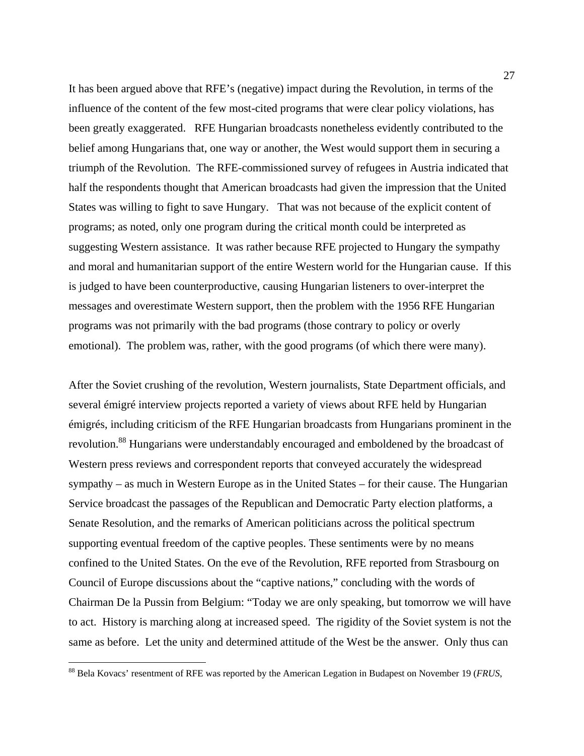It has been argued above that RFE's (negative) impact during the Revolution, in terms of the influence of the content of the few most-cited programs that were clear policy violations, has been greatly exaggerated. RFE Hungarian broadcasts nonetheless evidently contributed to the belief among Hungarians that, one way or another, the West would support them in securing a triumph of the Revolution. The RFE-commissioned survey of refugees in Austria indicated that half the respondents thought that American broadcasts had given the impression that the United States was willing to fight to save Hungary. That was not because of the explicit content of programs; as noted, only one program during the critical month could be interpreted as suggesting Western assistance. It was rather because RFE projected to Hungary the sympathy and moral and humanitarian support of the entire Western world for the Hungarian cause. If this is judged to have been counterproductive, causing Hungarian listeners to over-interpret the messages and overestimate Western support, then the problem with the 1956 RFE Hungarian programs was not primarily with the bad programs (those contrary to policy or overly emotional). The problem was, rather, with the good programs (of which there were many).

After the Soviet crushing of the revolution, Western journalists, State Department officials, and several émigré interview projects reported a variety of views about RFE held by Hungarian émigrés, including criticism of the RFE Hungarian broadcasts from Hungarians prominent in the revolution.<sup>88</sup> Hungarians were understandably encouraged and emboldened by the broadcast of Western press reviews and correspondent reports that conveyed accurately the widespread sympathy – as much in Western Europe as in the United States – for their cause. The Hungarian Service broadcast the passages of the Republican and Democratic Party election platforms, a Senate Resolution, and the remarks of American politicians across the political spectrum supporting eventual freedom of the captive peoples. These sentiments were by no means confined to the United States. On the eve of the Revolution, RFE reported from Strasbourg on Council of Europe discussions about the "captive nations," concluding with the words of Chairman De la Pussin from Belgium: "Today we are only speaking, but tomorrow we will have to act. History is marching along at increased speed. The rigidity of the Soviet system is not the same as before. Let the unity and determined attitude of the West be the answer. Only thus can

<sup>88</sup> Bela Kovacs' resentment of RFE was reported by the American Legation in Budapest on November 19 (*FRUS*,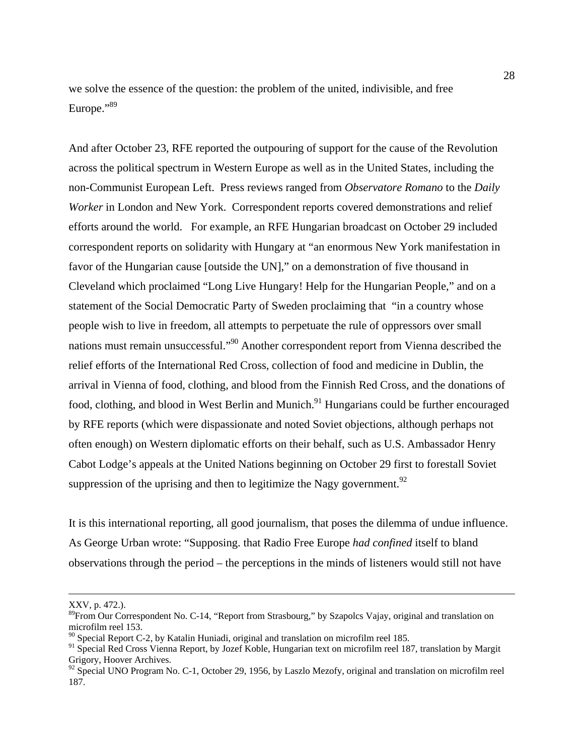we solve the essence of the question: the problem of the united, indivisible, and free Europe."<sup>89</sup>

And after October 23, RFE reported the outpouring of support for the cause of the Revolution across the political spectrum in Western Europe as well as in the United States, including the non-Communist European Left. Press reviews ranged from *Observatore Romano* to the *Daily Worker* in London and New York. Correspondent reports covered demonstrations and relief efforts around the world. For example, an RFE Hungarian broadcast on October 29 included correspondent reports on solidarity with Hungary at "an enormous New York manifestation in favor of the Hungarian cause [outside the UN]," on a demonstration of five thousand in Cleveland which proclaimed "Long Live Hungary! Help for the Hungarian People," and on a statement of the Social Democratic Party of Sweden proclaiming that "in a country whose people wish to live in freedom, all attempts to perpetuate the rule of oppressors over small nations must remain unsuccessful."90 Another correspondent report from Vienna described the relief efforts of the International Red Cross, collection of food and medicine in Dublin, the arrival in Vienna of food, clothing, and blood from the Finnish Red Cross, and the donations of food, clothing, and blood in West Berlin and Munich.<sup>91</sup> Hungarians could be further encouraged by RFE reports (which were dispassionate and noted Soviet objections, although perhaps not often enough) on Western diplomatic efforts on their behalf, such as U.S. Ambassador Henry Cabot Lodge's appeals at the United Nations beginning on October 29 first to forestall Soviet suppression of the uprising and then to legitimize the Nagy government. $92$ 

It is this international reporting, all good journalism, that poses the dilemma of undue influence. As George Urban wrote: "Supposing. that Radio Free Europe *had confined* itself to bland observations through the period – the perceptions in the minds of listeners would still not have

XXV, p. 472.).

<sup>&</sup>lt;sup>89</sup>From Our Correspondent No. C-14, "Report from Strasbourg," by Szapolcs Vajay, original and translation on microfilm reel 153.

 $90$  Special Report C-2, by Katalin Huniadi, original and translation on microfilm reel 185.

<sup>&</sup>lt;sup>91</sup> Special Red Cross Vienna Report, by Jozef Koble, Hungarian text on microfilm reel 187, translation by Margit Grigory, Hoover Archives.

 $92$  Special UNO Program No. C-1, October 29, 1956, by Laszlo Mezofy, original and translation on microfilm reel 187.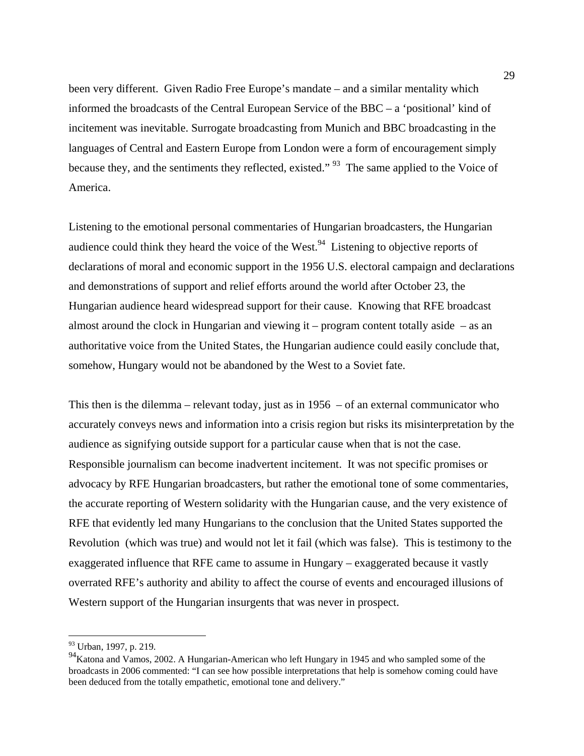been very different. Given Radio Free Europe's mandate – and a similar mentality which informed the broadcasts of the Central European Service of the BBC – a 'positional' kind of incitement was inevitable. Surrogate broadcasting from Munich and BBC broadcasting in the languages of Central and Eastern Europe from London were a form of encouragement simply because they, and the sentiments they reflected, existed." <sup>93</sup> The same applied to the Voice of America.

Listening to the emotional personal commentaries of Hungarian broadcasters, the Hungarian audience could think they heard the voice of the West.<sup>94</sup> Listening to objective reports of declarations of moral and economic support in the 1956 U.S. electoral campaign and declarations and demonstrations of support and relief efforts around the world after October 23, the Hungarian audience heard widespread support for their cause. Knowing that RFE broadcast almost around the clock in Hungarian and viewing it – program content totally aside – as an authoritative voice from the United States, the Hungarian audience could easily conclude that, somehow, Hungary would not be abandoned by the West to a Soviet fate.

This then is the dilemma – relevant today, just as in  $1956 - of$  an external communicator who accurately conveys news and information into a crisis region but risks its misinterpretation by the audience as signifying outside support for a particular cause when that is not the case. Responsible journalism can become inadvertent incitement. It was not specific promises or advocacy by RFE Hungarian broadcasters, but rather the emotional tone of some commentaries, the accurate reporting of Western solidarity with the Hungarian cause, and the very existence of RFE that evidently led many Hungarians to the conclusion that the United States supported the Revolution (which was true) and would not let it fail (which was false). This is testimony to the exaggerated influence that RFE came to assume in Hungary – exaggerated because it vastly overrated RFE's authority and ability to affect the course of events and encouraged illusions of Western support of the Hungarian insurgents that was never in prospect.

<sup>&</sup>lt;sup>93</sup> Urban, 1997, p. 219.

<sup>94&</sup>lt;br>Katona and Vamos, 2002. A Hungarian-American who left Hungary in 1945 and who sampled some of the broadcasts in 2006 commented: "I can see how possible interpretations that help is somehow coming could have been deduced from the totally empathetic, emotional tone and delivery."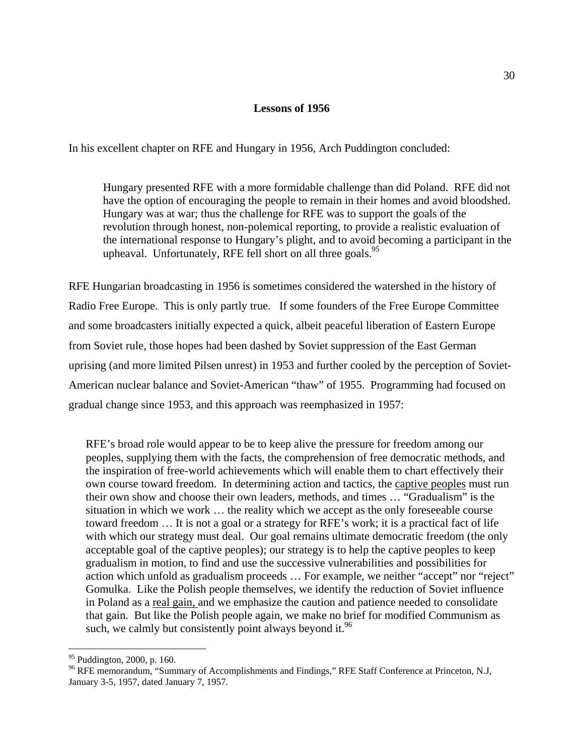## **Lessons of 1956**

In his excellent chapter on RFE and Hungary in 1956, Arch Puddington concluded:

Hungary presented RFE with a more formidable challenge than did Poland. RFE did not have the option of encouraging the people to remain in their homes and avoid bloodshed. Hungary was at war; thus the challenge for RFE was to support the goals of the revolution through honest, non-polemical reporting, to provide a realistic evaluation of the international response to Hungary's plight, and to avoid becoming a participant in the upheaval. Unfortunately, RFE fell short on all three goals.<sup>95</sup>

RFE Hungarian broadcasting in 1956 is sometimes considered the watershed in the history of Radio Free Europe. This is only partly true. If some founders of the Free Europe Committee and some broadcasters initially expected a quick, albeit peaceful liberation of Eastern Europe from Soviet rule, those hopes had been dashed by Soviet suppression of the East German uprising (and more limited Pilsen unrest) in 1953 and further cooled by the perception of Soviet-American nuclear balance and Soviet-American "thaw" of 1955. Programming had focused on gradual change since 1953, and this approach was reemphasized in 1957:

RFE's broad role would appear to be to keep alive the pressure for freedom among our peoples, supplying them with the facts, the comprehension of free democratic methods, and the inspiration of free-world achievements which will enable them to chart effectively their own course toward freedom. In determining action and tactics, the captive peoples must run their own show and choose their own leaders, methods, and times … "Gradualism" is the situation in which we work … the reality which we accept as the only foreseeable course toward freedom … It is not a goal or a strategy for RFE's work; it is a practical fact of life with which our strategy must deal. Our goal remains ultimate democratic freedom (the only acceptable goal of the captive peoples); our strategy is to help the captive peoples to keep gradualism in motion, to find and use the successive vulnerabilities and possibilities for action which unfold as gradualism proceeds … For example, we neither "accept" nor "reject" Gomulka. Like the Polish people themselves, we identify the reduction of Soviet influence in Poland as a real gain, and we emphasize the caution and patience needed to consolidate that gain. But like the Polish people again, we make no brief for modified Communism as such, we calmly but consistently point always beyond it.<sup>96</sup>

<sup>95</sup> Puddington, 2000, p. 160.

<sup>&</sup>lt;sup>96</sup> RFE memorandum, "Summary of Accomplishments and Findings," RFE Staff Conference at Princeton, N.J, January 3-5, 1957, dated January 7, 1957.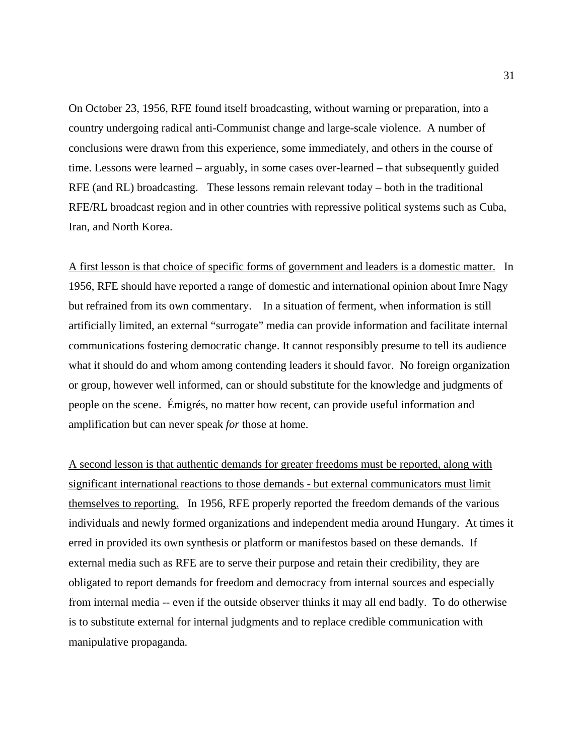On October 23, 1956, RFE found itself broadcasting, without warning or preparation, into a country undergoing radical anti-Communist change and large-scale violence. A number of conclusions were drawn from this experience, some immediately, and others in the course of time. Lessons were learned – arguably, in some cases over-learned – that subsequently guided RFE (and RL) broadcasting. These lessons remain relevant today – both in the traditional RFE/RL broadcast region and in other countries with repressive political systems such as Cuba, Iran, and North Korea.

A first lesson is that choice of specific forms of government and leaders is a domestic matter. In 1956, RFE should have reported a range of domestic and international opinion about Imre Nagy but refrained from its own commentary. In a situation of ferment, when information is still artificially limited, an external "surrogate" media can provide information and facilitate internal communications fostering democratic change. It cannot responsibly presume to tell its audience what it should do and whom among contending leaders it should favor. No foreign organization or group, however well informed, can or should substitute for the knowledge and judgments of people on the scene. Émigrés, no matter how recent, can provide useful information and amplification but can never speak *for* those at home.

A second lesson is that authentic demands for greater freedoms must be reported, along with significant international reactions to those demands - but external communicators must limit themselves to reporting. In 1956, RFE properly reported the freedom demands of the various individuals and newly formed organizations and independent media around Hungary. At times it erred in provided its own synthesis or platform or manifestos based on these demands. If external media such as RFE are to serve their purpose and retain their credibility, they are obligated to report demands for freedom and democracy from internal sources and especially from internal media -- even if the outside observer thinks it may all end badly. To do otherwise is to substitute external for internal judgments and to replace credible communication with manipulative propaganda.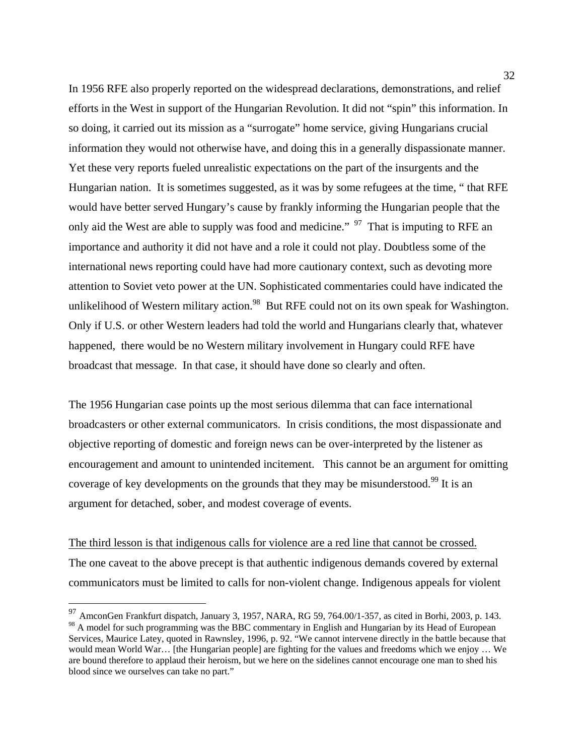In 1956 RFE also properly reported on the widespread declarations, demonstrations, and relief efforts in the West in support of the Hungarian Revolution. It did not "spin" this information. In so doing, it carried out its mission as a "surrogate" home service, giving Hungarians crucial information they would not otherwise have, and doing this in a generally dispassionate manner. Yet these very reports fueled unrealistic expectations on the part of the insurgents and the Hungarian nation. It is sometimes suggested, as it was by some refugees at the time, " that RFE would have better served Hungary's cause by frankly informing the Hungarian people that the only aid the West are able to supply was food and medicine."  $97$  That is imputing to RFE an importance and authority it did not have and a role it could not play. Doubtless some of the international news reporting could have had more cautionary context, such as devoting more attention to Soviet veto power at the UN. Sophisticated commentaries could have indicated the unlikelihood of Western military action.<sup>98</sup> But RFE could not on its own speak for Washington. Only if U.S. or other Western leaders had told the world and Hungarians clearly that, whatever happened, there would be no Western military involvement in Hungary could RFE have broadcast that message. In that case, it should have done so clearly and often.

The 1956 Hungarian case points up the most serious dilemma that can face international broadcasters or other external communicators. In crisis conditions, the most dispassionate and objective reporting of domestic and foreign news can be over-interpreted by the listener as encouragement and amount to unintended incitement. This cannot be an argument for omitting coverage of key developments on the grounds that they may be misunderstood.<sup>99</sup> It is an argument for detached, sober, and modest coverage of events.

The third lesson is that indigenous calls for violence are a red line that cannot be crossed. The one caveat to the above precept is that authentic indigenous demands covered by external communicators must be limited to calls for non-violent change. Indigenous appeals for violent

1

<sup>97</sup> AmconGen Frankfurt dispatch, January 3, 1957, NARA, RG 59, 764.00/1-357, as cited in Borhi, 2003, p. 143. <sup>98</sup> A model for such programming was the BBC commentary in English and Hungarian by its Head of European Services, Maurice Latey, quoted in Rawnsley, 1996, p. 92. "We cannot intervene directly in the battle because that would mean World War… [the Hungarian people] are fighting for the values and freedoms which we enjoy … We are bound therefore to applaud their heroism, but we here on the sidelines cannot encourage one man to shed his blood since we ourselves can take no part."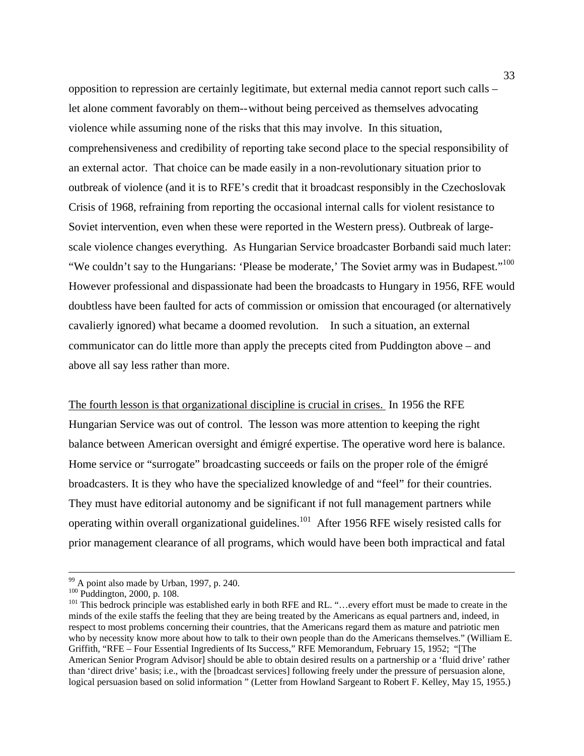opposition to repression are certainly legitimate, but external media cannot report such calls – let alone comment favorably on them--without being perceived as themselves advocating violence while assuming none of the risks that this may involve. In this situation, comprehensiveness and credibility of reporting take second place to the special responsibility of an external actor. That choice can be made easily in a non-revolutionary situation prior to outbreak of violence (and it is to RFE's credit that it broadcast responsibly in the Czechoslovak Crisis of 1968, refraining from reporting the occasional internal calls for violent resistance to Soviet intervention, even when these were reported in the Western press). Outbreak of largescale violence changes everything. As Hungarian Service broadcaster Borbandi said much later: "We couldn't say to the Hungarians: 'Please be moderate,' The Soviet army was in Budapest."<sup>100</sup> However professional and dispassionate had been the broadcasts to Hungary in 1956, RFE would doubtless have been faulted for acts of commission or omission that encouraged (or alternatively cavalierly ignored) what became a doomed revolution. In such a situation, an external communicator can do little more than apply the precepts cited from Puddington above – and above all say less rather than more.

The fourth lesson is that organizational discipline is crucial in crises. In 1956 the RFE Hungarian Service was out of control. The lesson was more attention to keeping the right balance between American oversight and émigré expertise. The operative word here is balance. Home service or "surrogate" broadcasting succeeds or fails on the proper role of the émigré broadcasters. It is they who have the specialized knowledge of and "feel" for their countries. They must have editorial autonomy and be significant if not full management partners while operating within overall organizational guidelines.101 After 1956 RFE wisely resisted calls for prior management clearance of all programs, which would have been both impractical and fatal

 $^{99}$  A point also made by Urban, 1997, p. 240.<br><sup>100</sup> Puddington, 2000, p. 108.

<sup>&</sup>lt;sup>101</sup> This bedrock principle was established early in both RFE and RL. "…every effort must be made to create in the minds of the exile staffs the feeling that they are being treated by the Americans as equal partners and, indeed, in respect to most problems concerning their countries, that the Americans regard them as mature and patriotic men who by necessity know more about how to talk to their own people than do the Americans themselves." (William E. Griffith, "RFE – Four Essential Ingredients of Its Success," RFE Memorandum, February 15, 1952; "[The American Senior Program Advisor] should be able to obtain desired results on a partnership or a 'fluid drive' rather than 'direct drive' basis; i.e., with the [broadcast services] following freely under the pressure of persuasion alone, logical persuasion based on solid information " (Letter from Howland Sargeant to Robert F. Kelley, May 15, 1955.)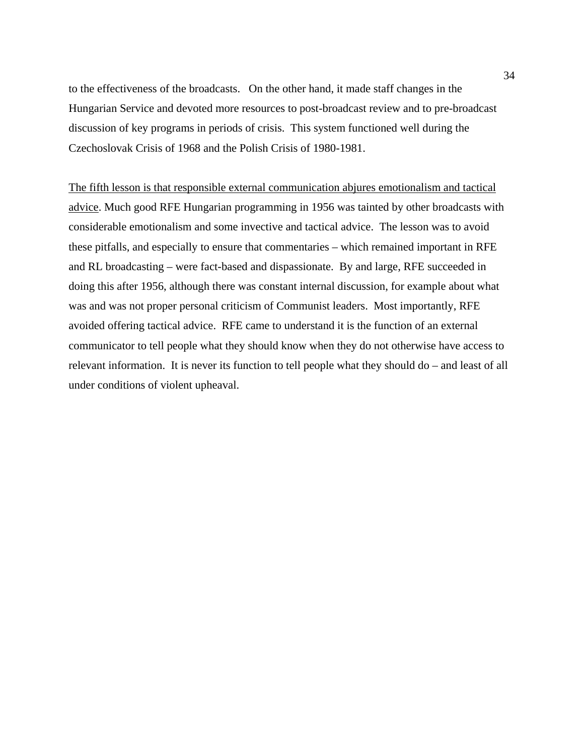to the effectiveness of the broadcasts. On the other hand, it made staff changes in the Hungarian Service and devoted more resources to post-broadcast review and to pre-broadcast discussion of key programs in periods of crisis. This system functioned well during the Czechoslovak Crisis of 1968 and the Polish Crisis of 1980-1981.

The fifth lesson is that responsible external communication abjures emotionalism and tactical advice. Much good RFE Hungarian programming in 1956 was tainted by other broadcasts with considerable emotionalism and some invective and tactical advice. The lesson was to avoid these pitfalls, and especially to ensure that commentaries – which remained important in RFE and RL broadcasting – were fact-based and dispassionate. By and large, RFE succeeded in doing this after 1956, although there was constant internal discussion, for example about what was and was not proper personal criticism of Communist leaders. Most importantly, RFE avoided offering tactical advice. RFE came to understand it is the function of an external communicator to tell people what they should know when they do not otherwise have access to relevant information. It is never its function to tell people what they should do – and least of all under conditions of violent upheaval.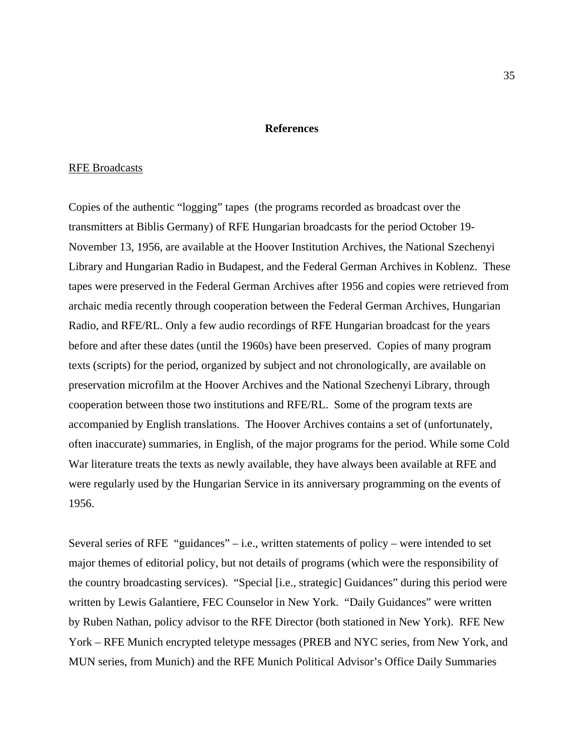#### **References**

# RFE Broadcasts

Copies of the authentic "logging" tapes (the programs recorded as broadcast over the transmitters at Biblis Germany) of RFE Hungarian broadcasts for the period October 19- November 13, 1956, are available at the Hoover Institution Archives, the National Szechenyi Library and Hungarian Radio in Budapest, and the Federal German Archives in Koblenz. These tapes were preserved in the Federal German Archives after 1956 and copies were retrieved from archaic media recently through cooperation between the Federal German Archives, Hungarian Radio, and RFE/RL. Only a few audio recordings of RFE Hungarian broadcast for the years before and after these dates (until the 1960s) have been preserved. Copies of many program texts (scripts) for the period, organized by subject and not chronologically, are available on preservation microfilm at the Hoover Archives and the National Szechenyi Library, through cooperation between those two institutions and RFE/RL. Some of the program texts are accompanied by English translations. The Hoover Archives contains a set of (unfortunately, often inaccurate) summaries, in English, of the major programs for the period. While some Cold War literature treats the texts as newly available, they have always been available at RFE and were regularly used by the Hungarian Service in its anniversary programming on the events of 1956.

Several series of RFE "guidances" – i.e., written statements of policy – were intended to set major themes of editorial policy, but not details of programs (which were the responsibility of the country broadcasting services). "Special [i.e., strategic] Guidances" during this period were written by Lewis Galantiere, FEC Counselor in New York. "Daily Guidances" were written by Ruben Nathan, policy advisor to the RFE Director (both stationed in New York). RFE New York – RFE Munich encrypted teletype messages (PREB and NYC series, from New York, and MUN series, from Munich) and the RFE Munich Political Advisor's Office Daily Summaries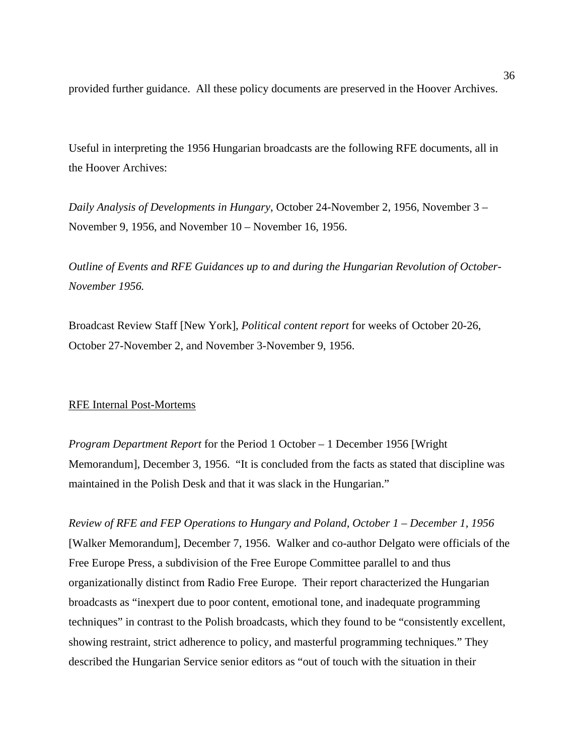provided further guidance. All these policy documents are preserved in the Hoover Archives.

Useful in interpreting the 1956 Hungarian broadcasts are the following RFE documents, all in the Hoover Archives:

*Daily Analysis of Developments in Hungary*, October 24-November 2, 1956, November 3 – November 9, 1956, and November 10 – November 16, 1956.

*Outline of Events and RFE Guidances up to and during the Hungarian Revolution of October-November 1956.* 

Broadcast Review Staff [New York]*, Political content report* for weeks of October 20-26, October 27-November 2, and November 3-November 9, 1956.

#### RFE Internal Post-Mortems

*Program Department Report* for the Period 1 October – 1 December 1956 [Wright Memorandum], December 3, 1956. "It is concluded from the facts as stated that discipline was maintained in the Polish Desk and that it was slack in the Hungarian."

*Review of RFE and FEP Operations to Hungary and Poland, October 1 – December 1, 1956* [Walker Memorandum], December 7, 1956. Walker and co-author Delgato were officials of the Free Europe Press, a subdivision of the Free Europe Committee parallel to and thus organizationally distinct from Radio Free Europe. Their report characterized the Hungarian broadcasts as "inexpert due to poor content, emotional tone, and inadequate programming techniques" in contrast to the Polish broadcasts, which they found to be "consistently excellent, showing restraint, strict adherence to policy, and masterful programming techniques." They described the Hungarian Service senior editors as "out of touch with the situation in their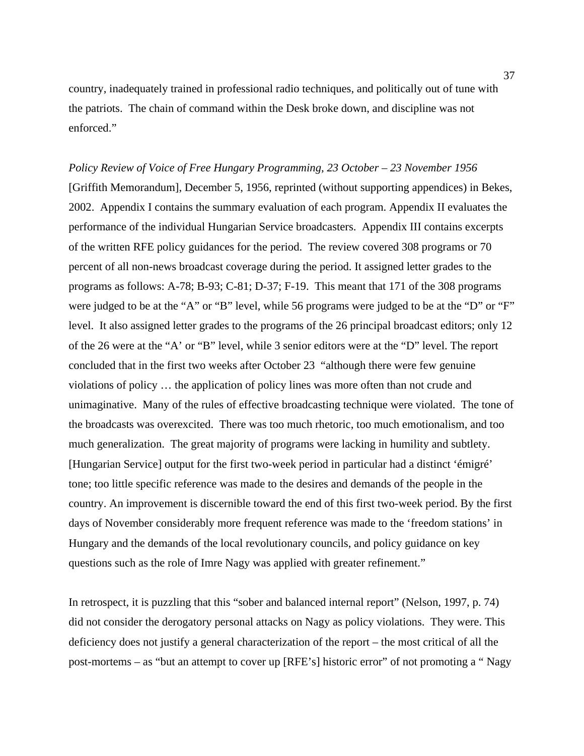country, inadequately trained in professional radio techniques, and politically out of tune with the patriots. The chain of command within the Desk broke down, and discipline was not enforced."

*Policy Review of Voice of Free Hungary Programming, 23 October – 23 November 1956* [Griffith Memorandum], December 5, 1956, reprinted (without supporting appendices) in Bekes, 2002. Appendix I contains the summary evaluation of each program. Appendix II evaluates the performance of the individual Hungarian Service broadcasters. Appendix III contains excerpts of the written RFE policy guidances for the period. The review covered 308 programs or 70 percent of all non-news broadcast coverage during the period. It assigned letter grades to the programs as follows: A-78; B-93; C-81; D-37; F-19. This meant that 171 of the 308 programs were judged to be at the "A" or "B" level, while 56 programs were judged to be at the "D" or "F" level. It also assigned letter grades to the programs of the 26 principal broadcast editors; only 12 of the 26 were at the "A' or "B" level, while 3 senior editors were at the "D" level. The report concluded that in the first two weeks after October 23 "although there were few genuine violations of policy … the application of policy lines was more often than not crude and unimaginative. Many of the rules of effective broadcasting technique were violated. The tone of the broadcasts was overexcited. There was too much rhetoric, too much emotionalism, and too much generalization. The great majority of programs were lacking in humility and subtlety. [Hungarian Service] output for the first two-week period in particular had a distinct 'émigré' tone; too little specific reference was made to the desires and demands of the people in the country. An improvement is discernible toward the end of this first two-week period. By the first days of November considerably more frequent reference was made to the 'freedom stations' in Hungary and the demands of the local revolutionary councils, and policy guidance on key questions such as the role of Imre Nagy was applied with greater refinement."

In retrospect, it is puzzling that this "sober and balanced internal report" (Nelson, 1997, p. 74) did not consider the derogatory personal attacks on Nagy as policy violations. They were. This deficiency does not justify a general characterization of the report – the most critical of all the post-mortems – as "but an attempt to cover up [RFE's] historic error" of not promoting a " Nagy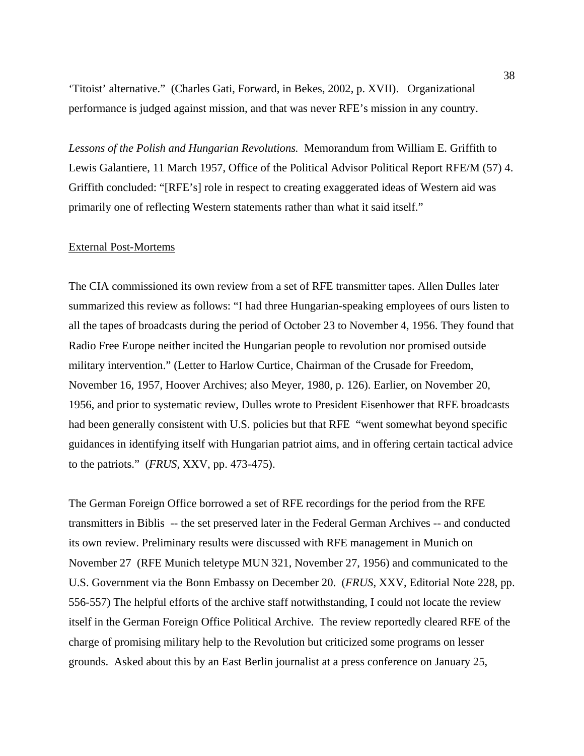'Titoist' alternative." (Charles Gati, Forward, in Bekes, 2002, p. XVII). Organizational performance is judged against mission, and that was never RFE's mission in any country.

*Lessons of the Polish and Hungarian Revolutions.* Memorandum from William E. Griffith to Lewis Galantiere, 11 March 1957, Office of the Political Advisor Political Report RFE/M (57) 4. Griffith concluded: "[RFE's] role in respect to creating exaggerated ideas of Western aid was primarily one of reflecting Western statements rather than what it said itself."

## External Post-Mortems

The CIA commissioned its own review from a set of RFE transmitter tapes. Allen Dulles later summarized this review as follows: "I had three Hungarian-speaking employees of ours listen to all the tapes of broadcasts during the period of October 23 to November 4, 1956. They found that Radio Free Europe neither incited the Hungarian people to revolution nor promised outside military intervention." (Letter to Harlow Curtice, Chairman of the Crusade for Freedom, November 16, 1957, Hoover Archives; also Meyer, 1980, p. 126). Earlier, on November 20, 1956, and prior to systematic review, Dulles wrote to President Eisenhower that RFE broadcasts had been generally consistent with U.S. policies but that RFE "went somewhat beyond specific guidances in identifying itself with Hungarian patriot aims, and in offering certain tactical advice to the patriots." (*FRUS*, XXV, pp. 473-475).

The German Foreign Office borrowed a set of RFE recordings for the period from the RFE transmitters in Biblis -- the set preserved later in the Federal German Archives -- and conducted its own review. Preliminary results were discussed with RFE management in Munich on November 27 (RFE Munich teletype MUN 321, November 27, 1956) and communicated to the U.S. Government via the Bonn Embassy on December 20. (*FRUS*, XXV, Editorial Note 228, pp. 556-557) The helpful efforts of the archive staff notwithstanding, I could not locate the review itself in the German Foreign Office Political Archive. The review reportedly cleared RFE of the charge of promising military help to the Revolution but criticized some programs on lesser grounds. Asked about this by an East Berlin journalist at a press conference on January 25,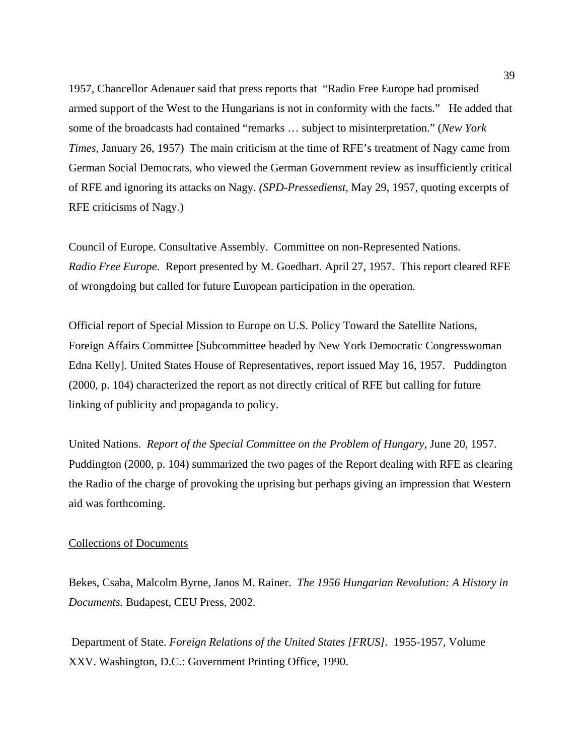1957, Chancellor Adenauer said that press reports that "Radio Free Europe had promised armed support of the West to the Hungarians is not in conformity with the facts." He added that some of the broadcasts had contained "remarks … subject to misinterpretation." (*New York Times*, January 26, 1957) The main criticism at the time of RFE's treatment of Nagy came from German Social Democrats, who viewed the German Government review as insufficiently critical of RFE and ignoring its attacks on Nagy. *(SPD-Pressedienst*, May 29, 1957, quoting excerpts of RFE criticisms of Nagy.)

Council of Europe. Consultative Assembly. Committee on non-Represented Nations. *Radio Free Europe.* Report presented by M. Goedhart. April 27, 1957.This report cleared RFE of wrongdoing but called for future European participation in the operation.

Official report of Special Mission to Europe on U.S. Policy Toward the Satellite Nations, Foreign Affairs Committee [Subcommittee headed by New York Democratic Congresswoman Edna Kelly]. United States House of Representatives, report issued May 16, 1957. Puddington (2000, p. 104) characterized the report as not directly critical of RFE but calling for future linking of publicity and propaganda to policy.

United Nations. *Report of the Special Committee on the Problem of Hungary*, June 20, 1957. Puddington (2000, p. 104) summarized the two pages of the Report dealing with RFE as clearing the Radio of the charge of provoking the uprising but perhaps giving an impression that Western aid was forthcoming.

# Collections of Documents

Bekes, Csaba, Malcolm Byrne, Janos M. Rainer. *The 1956 Hungarian Revolution: A History in Documents.* Budapest, CEU Press, 2002.

 Department of State. *Foreign Relations of the United States [FRUS]*. 1955-1957, Volume XXV. Washington, D.C.: Government Printing Office, 1990.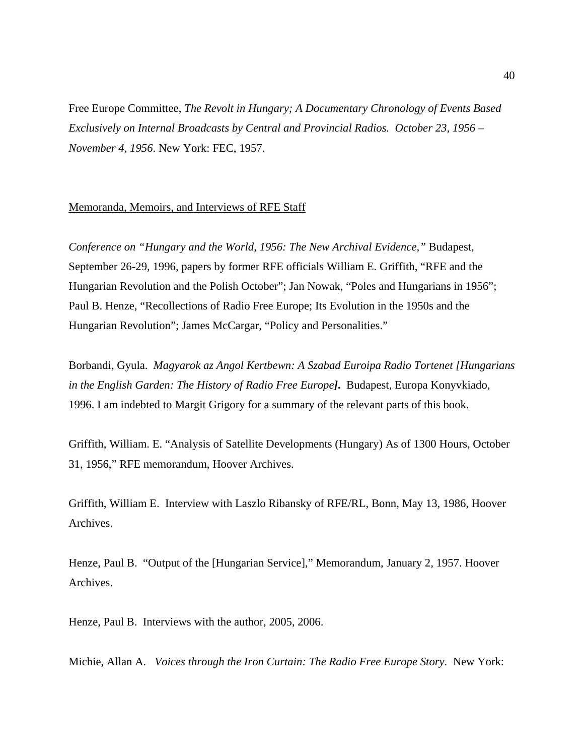Free Europe Committee, *The Revolt in Hungary; A Documentary Chronology of Events Based Exclusively on Internal Broadcasts by Central and Provincial Radios. October 23, 1956 – November 4, 1956*. New York: FEC, 1957.

#### Memoranda, Memoirs, and Interviews of RFE Staff

*Conference on "Hungary and the World, 1956: The New Archival Evidence,"* Budapest, September 26-29, 1996, papers by former RFE officials William E. Griffith, "RFE and the Hungarian Revolution and the Polish October"; Jan Nowak, "Poles and Hungarians in 1956"; Paul B. Henze, "Recollections of Radio Free Europe; Its Evolution in the 1950s and the Hungarian Revolution"; James McCargar, "Policy and Personalities."

Borbandi, Gyula. *Magyarok az Angol Kertbewn: A Szabad Euroipa Radio Tortenet [Hungarians in the English Garden: The History of Radio Free Europe]***.** Budapest, Europa Konyvkiado, 1996. I am indebted to Margit Grigory for a summary of the relevant parts of this book.

Griffith, William. E. "Analysis of Satellite Developments (Hungary) As of 1300 Hours, October 31, 1956," RFE memorandum, Hoover Archives.

Griffith, William E. Interview with Laszlo Ribansky of RFE/RL, Bonn, May 13, 1986, Hoover Archives.

Henze, Paul B. "Output of the [Hungarian Service]," Memorandum, January 2, 1957. Hoover Archives.

Henze, Paul B. Interviews with the author, 2005, 2006.

Michie, Allan A. *Voices through the Iron Curtain: The Radio Free Europe Story*. New York: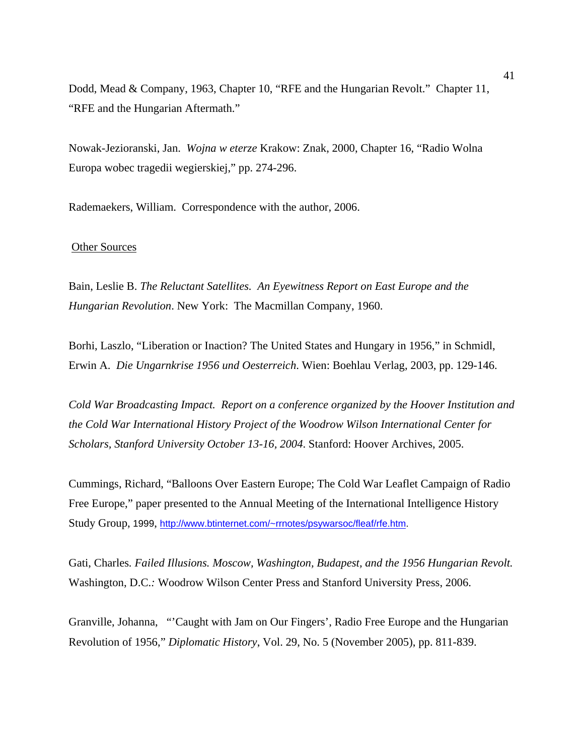Dodd, Mead & Company, 1963, Chapter 10, "RFE and the Hungarian Revolt." Chapter 11, "RFE and the Hungarian Aftermath."

Nowak-Jezioranski, Jan. *Wojna w eterze* Krakow: Znak, 2000, Chapter 16, "Radio Wolna Europa wobec tragedii wegierskiej," pp. 274-296.

Rademaekers, William. Correspondence with the author, 2006.

# Other Sources

Bain, Leslie B. *The Reluctant Satellites. An Eyewitness Report on East Europe and the Hungarian Revolution*. New York: The Macmillan Company, 1960.

Borhi, Laszlo, "Liberation or Inaction? The United States and Hungary in 1956," in Schmidl, Erwin A. *Die Ungarnkrise 1956 und Oesterreich*. Wien: Boehlau Verlag, 2003, pp. 129-146.

*Cold War Broadcasting Impact. Report on a conference organized by the Hoover Institution and the Cold War International History Project of the Woodrow Wilson International Center for Scholars, Stanford University October 13-16, 2004*. Stanford: Hoover Archives, 2005.

Cummings, Richard, "Balloons Over Eastern Europe; The Cold War Leaflet Campaign of Radio Free Europe," paper presented to the Annual Meeting of the International Intelligence History Study Group, 1999, http://www.btinternet.com/~rrnotes/psywarsoc/fleaf/rfe.htm.

Gati, Charles*. Failed Illusions. Moscow, Washington, Budapest, and the 1956 Hungarian Revolt.*  Washington, D.C.*:* Woodrow Wilson Center Press and Stanford University Press, 2006.

Granville, Johanna, "'Caught with Jam on Our Fingers', Radio Free Europe and the Hungarian Revolution of 1956," *Diplomatic History*, Vol. 29, No. 5 (November 2005), pp. 811-839.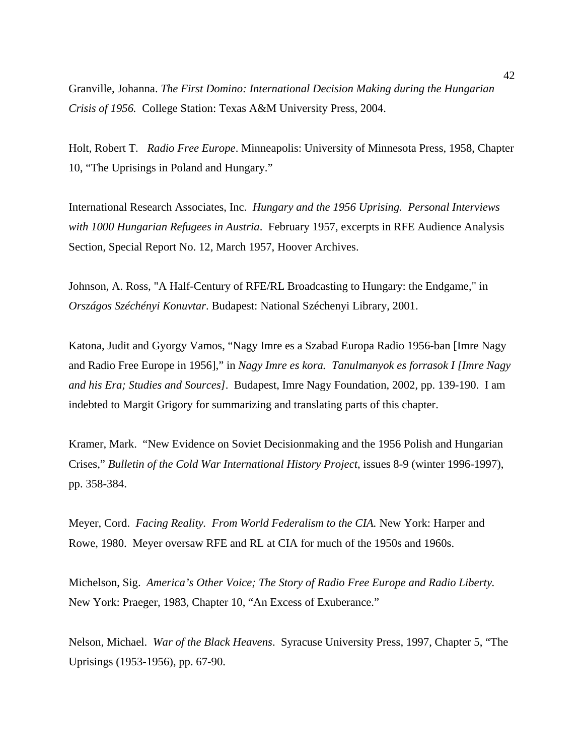Granville, Johanna. *The First Domino: International Decision Making during the Hungarian Crisis of 1956.* College Station: Texas A&M University Press, 2004.

Holt, Robert T*. Radio Free Europe*. Minneapolis: University of Minnesota Press, 1958, Chapter 10, "The Uprisings in Poland and Hungary."

International Research Associates, Inc. *Hungary and the 1956 Uprising. Personal Interviews with 1000 Hungarian Refugees in Austria*. February 1957, excerpts in RFE Audience Analysis Section, Special Report No. 12, March 1957, Hoover Archives.

Johnson, A. Ross, "A Half-Century of RFE/RL Broadcasting to Hungary: the Endgame," in *Országos Széchényi Konuvtar*. Budapest: National Széchenyi Library, 2001.

Katona, Judit and Gyorgy Vamos, "Nagy Imre es a Szabad Europa Radio 1956-ban [Imre Nagy and Radio Free Europe in 1956]," in *Nagy Imre es kora. Tanulmanyok es forrasok I [Imre Nagy and his Era; Studies and Sources]*. Budapest, Imre Nagy Foundation, 2002, pp. 139-190. I am indebted to Margit Grigory for summarizing and translating parts of this chapter.

Kramer, Mark. "New Evidence on Soviet Decisionmaking and the 1956 Polish and Hungarian Crises," *Bulletin of the Cold War International History Project*, issues 8-9 (winter 1996-1997), pp. 358-384.

Meyer, Cord. *Facing Reality. From World Federalism to the CIA.* New York: Harper and Rowe, 1980. Meyer oversaw RFE and RL at CIA for much of the 1950s and 1960s.

Michelson, Sig. *America's Other Voice; The Story of Radio Free Europe and Radio Liberty.* New York: Praeger, 1983, Chapter 10, "An Excess of Exuberance."

Nelson, Michael. *War of the Black Heavens*. Syracuse University Press, 1997, Chapter 5, "The Uprisings (1953-1956), pp. 67-90.